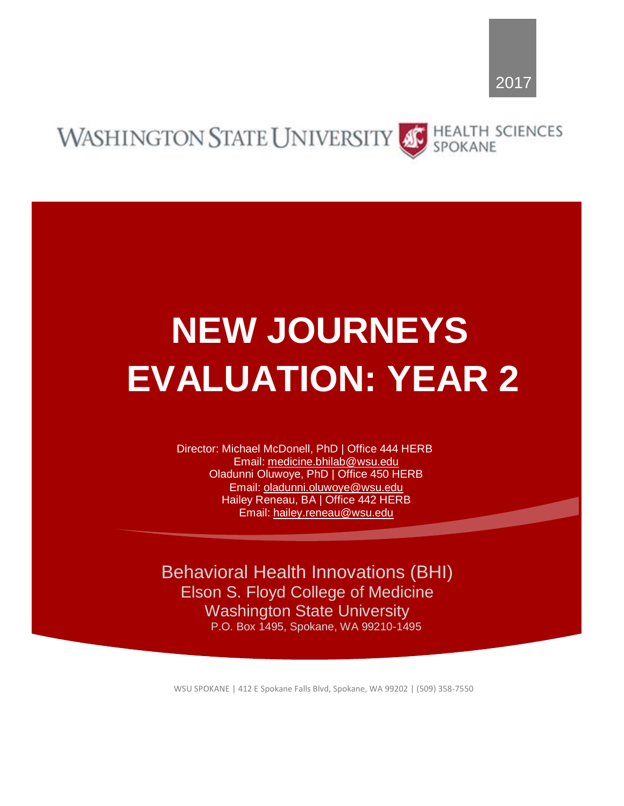#### **HEALTH SCIENCES WASHINGTON STATE UNIVERSITY** SPOKANE

# **NEW JOURNEYS EVALUATION: YEAR 2**

Director: Michael McDonell, PhD | Office 444 HERB Email: medicine.bhilab@wsu.edu Oladunni Oluwoye, PhD | Office 450 HERB Email: oladunni.oluwoye@wsu.edu Hailey Reneau, BA | Office 442 HERB Email: hailey.reneau@wsu.edu

Behavioral Health Innovations (BHI) Elson S. Floyd College of Medicine Washington State University P.O. Box 1495, Spokane, WA 99210-1495

WSU SPOKANE | 412 E Spokane Falls Blvd, Spokane, WA 99202 | (509) 358-7550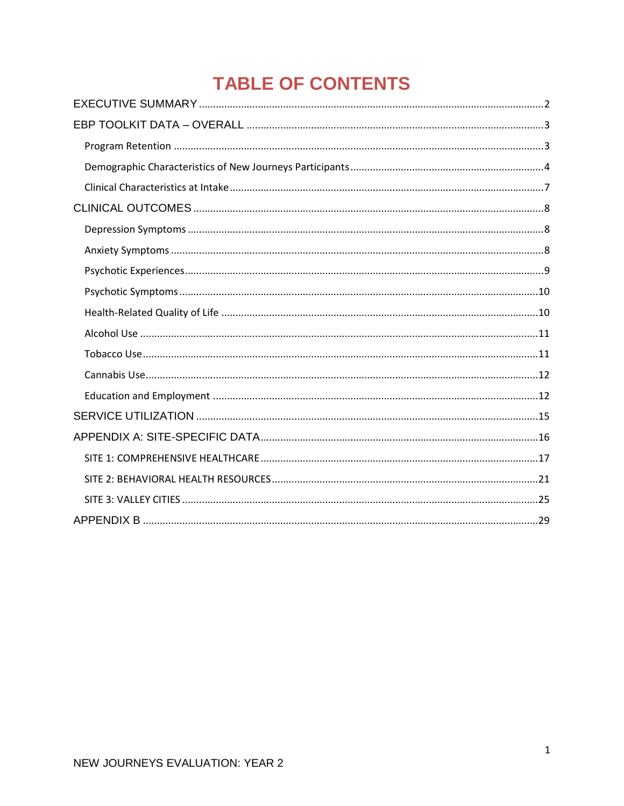# **TABLE OF CONTENTS**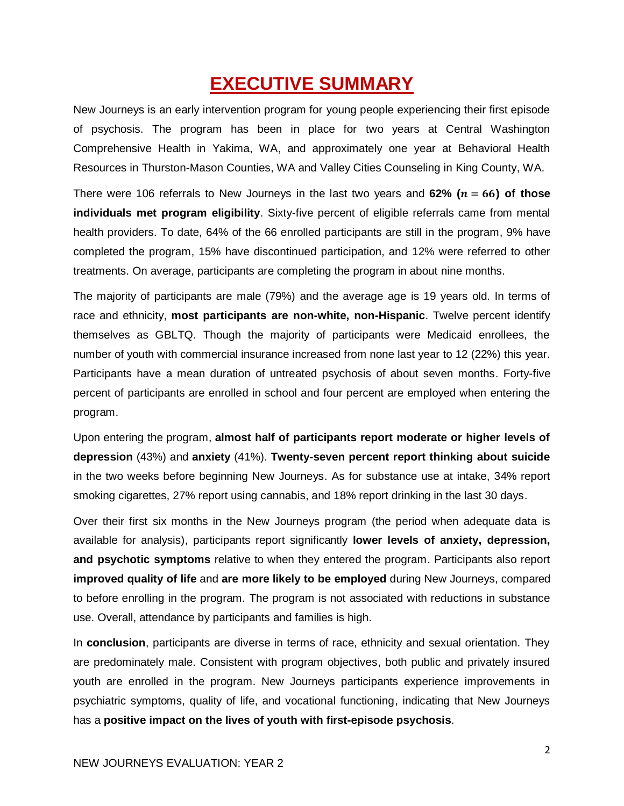# **EXECUTIVE SUMMARY**

New Journeys is an early intervention program for young people experiencing their first episode of psychosis. The program has been in place for two years at Central Washington Comprehensive Health in Yakima, WA, and approximately one year at Behavioral Health Resources in Thurston-Mason Counties, WA and Valley Cities Counseling in King County, WA.

There were 106 referrals to New Journeys in the last two years and  $62\%$  ( $n = 66$ ) of those **individuals met program eligibility**. Sixty-five percent of eligible referrals came from mental health providers. To date, 64% of the 66 enrolled participants are still in the program, 9% have completed the program, 15% have discontinued participation, and 12% were referred to other treatments. On average, participants are completing the program in about nine months.

The majority of participants are male (79%) and the average age is 19 years old. In terms of race and ethnicity, **most participants are non-white, non-Hispanic**. Twelve percent identify themselves as GBLTQ. Though the majority of participants were Medicaid enrollees, the number of youth with commercial insurance increased from none last year to 12 (22%) this year. Participants have a mean duration of untreated psychosis of about seven months. Forty-five percent of participants are enrolled in school and four percent are employed when entering the program.

Upon entering the program, **almost half of participants report moderate or higher levels of depression** (43%) and **anxiety** (41%). **Twenty-seven percent report thinking about suicide** in the two weeks before beginning New Journeys. As for substance use at intake, 34% report smoking cigarettes, 27% report using cannabis, and 18% report drinking in the last 30 days.

Over their first six months in the New Journeys program (the period when adequate data is available for analysis), participants report significantly **lower levels of anxiety, depression, and psychotic symptoms** relative to when they entered the program. Participants also report **improved quality of life** and **are more likely to be employed** during New Journeys, compared to before enrolling in the program. The program is not associated with reductions in substance use. Overall, attendance by participants and families is high.

In **conclusion**, participants are diverse in terms of race, ethnicity and sexual orientation. They are predominately male. Consistent with program objectives, both public and privately insured youth are enrolled in the program. New Journeys participants experience improvements in psychiatric symptoms, quality of life, and vocational functioning, indicating that New Journeys has a **positive impact on the lives of youth with first-episode psychosis**.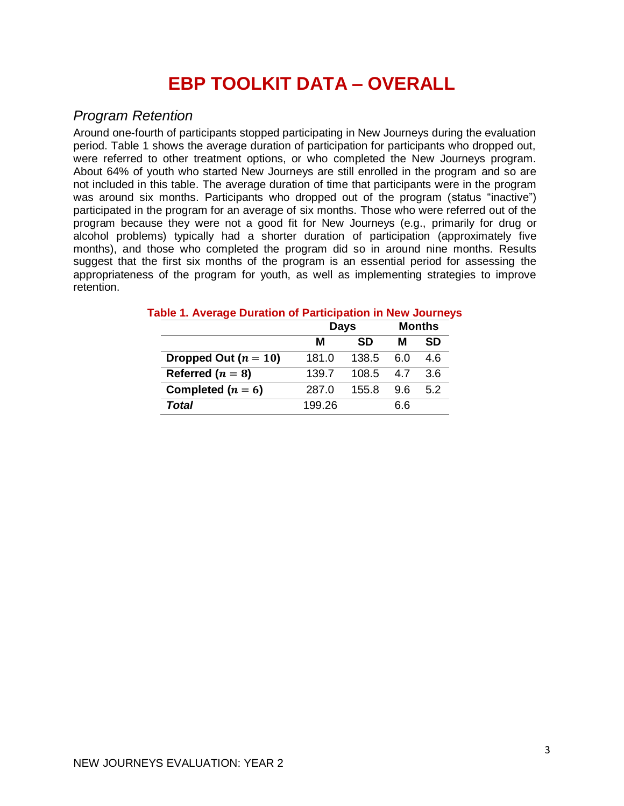# **EBP TOOLKIT DATA – OVERALL**

## *Program Retention*

Around one-fourth of participants stopped participating in New Journeys during the evaluation period. Table 1 shows the average duration of participation for participants who dropped out, were referred to other treatment options, or who completed the New Journeys program. About 64% of youth who started New Journeys are still enrolled in the program and so are not included in this table. The average duration of time that participants were in the program was around six months. Participants who dropped out of the program (status "inactive") participated in the program for an average of six months. Those who were referred out of the program because they were not a good fit for New Journeys (e.g., primarily for drug or alcohol problems) typically had a shorter duration of participation (approximately five months), and those who completed the program did so in around nine months. Results suggest that the first six months of the program is an essential period for assessing the appropriateness of the program for youth, as well as implementing strategies to improve retention.

|                        | <b>Days</b> |       | <b>Months</b> |     |
|------------------------|-------------|-------|---------------|-----|
|                        | м           | м     | SD            |     |
| Dropped Out $(n = 10)$ | 181.0       | 138.5 | 6.0           | 4.6 |
| Referred ( $n = 8$ )   | 139.7       | 108.5 | 47            | 3.6 |
| Completed $(n = 6)$    | 287.0       | 155.8 | 96            | 5.2 |
| Total                  | 199.26      |       | 6.6           |     |

#### **Table 1. Average Duration of Participation in New Journeys**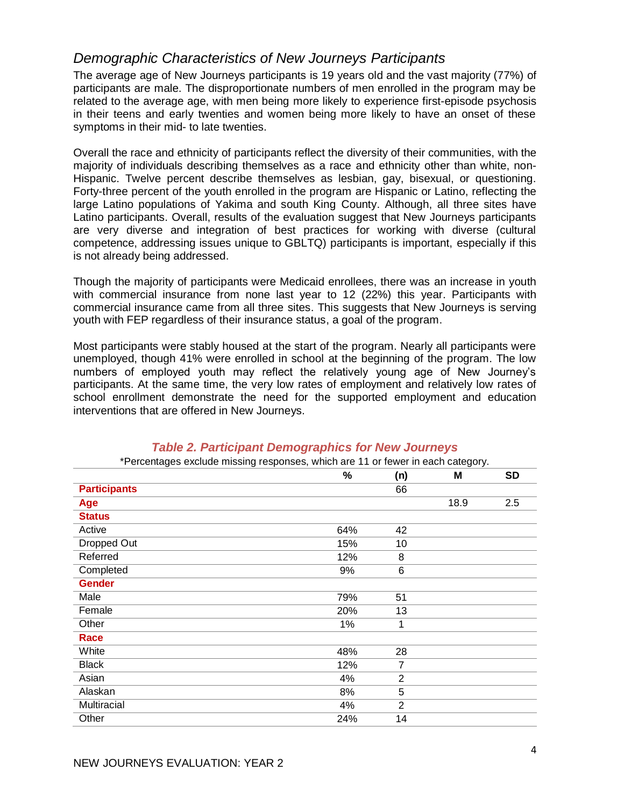# *Demographic Characteristics of New Journeys Participants*

The average age of New Journeys participants is 19 years old and the vast majority (77%) of participants are male. The disproportionate numbers of men enrolled in the program may be related to the average age, with men being more likely to experience first-episode psychosis in their teens and early twenties and women being more likely to have an onset of these symptoms in their mid- to late twenties.

Overall the race and ethnicity of participants reflect the diversity of their communities, with the majority of individuals describing themselves as a race and ethnicity other than white, non-Hispanic. Twelve percent describe themselves as lesbian, gay, bisexual, or questioning. Forty-three percent of the youth enrolled in the program are Hispanic or Latino, reflecting the large Latino populations of Yakima and south King County. Although, all three sites have Latino participants. Overall, results of the evaluation suggest that New Journeys participants are very diverse and integration of best practices for working with diverse (cultural competence, addressing issues unique to GBLTQ) participants is important, especially if this is not already being addressed.

Though the majority of participants were Medicaid enrollees, there was an increase in youth with commercial insurance from none last year to 12 (22%) this year. Participants with commercial insurance came from all three sites. This suggests that New Journeys is serving youth with FEP regardless of their insurance status, a goal of the program.

Most participants were stably housed at the start of the program. Nearly all participants were unemployed, though 41% were enrolled in school at the beginning of the program. The low numbers of employed youth may reflect the relatively young age of New Journey's participants. At the same time, the very low rates of employment and relatively low rates of school enrollment demonstrate the need for the supported employment and education interventions that are offered in New Journeys.

|                     | $\%$ | (n)            | M    | <b>SD</b> |
|---------------------|------|----------------|------|-----------|
| <b>Participants</b> |      | 66             |      |           |
| Age                 |      |                | 18.9 | 2.5       |
| <b>Status</b>       |      |                |      |           |
| Active              | 64%  | 42             |      |           |
| Dropped Out         | 15%  | 10             |      |           |
| Referred            | 12%  | 8              |      |           |
| Completed           | 9%   | 6              |      |           |
| <b>Gender</b>       |      |                |      |           |
| Male                | 79%  | 51             |      |           |
| Female              | 20%  | 13             |      |           |
| Other               | 1%   | 1              |      |           |
| Race                |      |                |      |           |
| White               | 48%  | 28             |      |           |
| <b>Black</b>        | 12%  | 7              |      |           |
| Asian               | 4%   | $\overline{2}$ |      |           |
| Alaskan             | 8%   | 5              |      |           |
| Multiracial         | 4%   | $\overline{2}$ |      |           |
| Other               | 24%  | 14             |      |           |
|                     |      |                |      |           |

#### *Table 2. Participant Demographics for New Journeys* \*Percentages exclude missing responses, which are 11 or fewer in each category.

4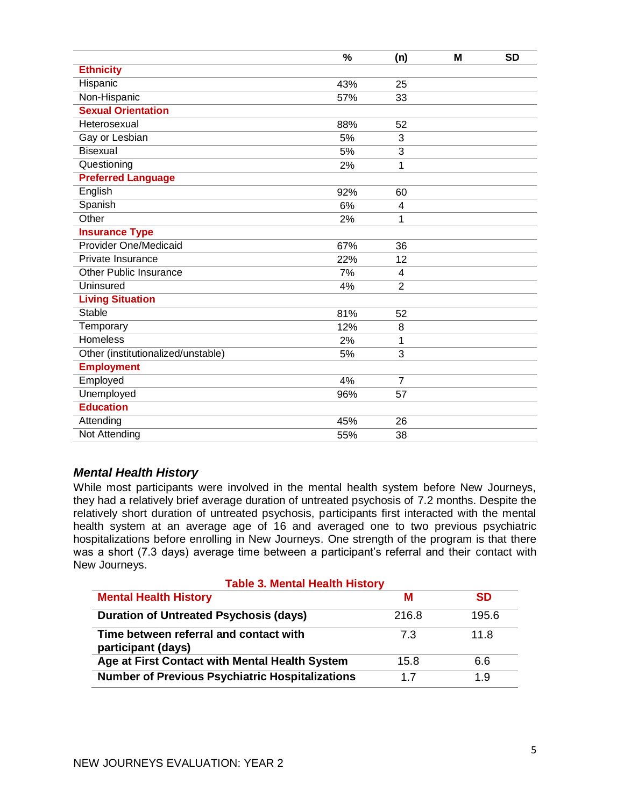|                                    | %   | (n)            | M | <b>SD</b> |
|------------------------------------|-----|----------------|---|-----------|
| <b>Ethnicity</b>                   |     |                |   |           |
| Hispanic                           | 43% | 25             |   |           |
| Non-Hispanic                       | 57% | 33             |   |           |
| <b>Sexual Orientation</b>          |     |                |   |           |
| Heterosexual                       | 88% | 52             |   |           |
| Gay or Lesbian                     | 5%  | 3              |   |           |
| <b>Bisexual</b>                    | 5%  | 3              |   |           |
| Questioning                        | 2%  | 1              |   |           |
| <b>Preferred Language</b>          |     |                |   |           |
| English                            | 92% | 60             |   |           |
| Spanish                            | 6%  | 4              |   |           |
| Other                              | 2%  | 1              |   |           |
| <b>Insurance Type</b>              |     |                |   |           |
| <b>Provider One/Medicaid</b>       | 67% | 36             |   |           |
| Private Insurance                  | 22% | 12             |   |           |
| <b>Other Public Insurance</b>      | 7%  | 4              |   |           |
| Uninsured                          | 4%  | $\overline{2}$ |   |           |
| <b>Living Situation</b>            |     |                |   |           |
| <b>Stable</b>                      | 81% | 52             |   |           |
| Temporary                          | 12% | 8              |   |           |
| <b>Homeless</b>                    | 2%  | 1              |   |           |
| Other (institutionalized/unstable) | 5%  | 3              |   |           |
| <b>Employment</b>                  |     |                |   |           |
| Employed                           | 4%  | 7              |   |           |
| Unemployed                         | 96% | 57             |   |           |
| <b>Education</b>                   |     |                |   |           |
| Attending                          | 45% | 26             |   |           |
| Not Attending                      | 55% | 38             |   |           |

#### *Mental Health History*

While most participants were involved in the mental health system before New Journeys, they had a relatively brief average duration of untreated psychosis of 7.2 months. Despite the relatively short duration of untreated psychosis, participants first interacted with the mental health system at an average age of 16 and averaged one to two previous psychiatric hospitalizations before enrolling in New Journeys. One strength of the program is that there was a short (7.3 days) average time between a participant's referral and their contact with New Journeys.

| <b>Table 3. Mental Health History</b>                        |       |           |  |  |  |  |  |  |  |  |  |  |
|--------------------------------------------------------------|-------|-----------|--|--|--|--|--|--|--|--|--|--|
| <b>Mental Health History</b>                                 | м     | <b>SD</b> |  |  |  |  |  |  |  |  |  |  |
| <b>Duration of Untreated Psychosis (days)</b>                | 216.8 | 195.6     |  |  |  |  |  |  |  |  |  |  |
| Time between referral and contact with<br>participant (days) | 7.3   | 11.8      |  |  |  |  |  |  |  |  |  |  |
| Age at First Contact with Mental Health System               | 15.8  | 6.6       |  |  |  |  |  |  |  |  |  |  |
| <b>Number of Previous Psychiatric Hospitalizations</b>       | 17    | 1.9       |  |  |  |  |  |  |  |  |  |  |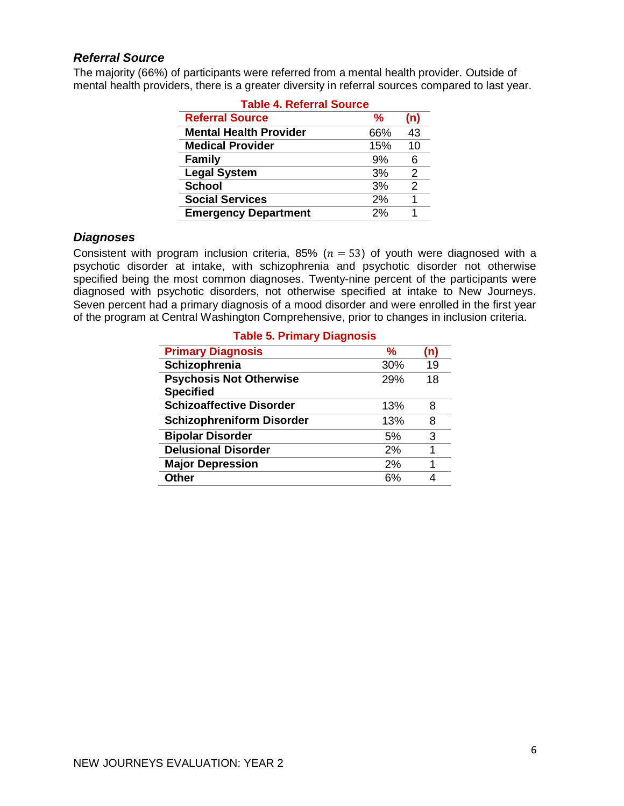#### *Referral Source*

The majority (66%) of participants were referred from a mental health provider. Outside of mental health providers, there is a greater diversity in referral sources compared to last year.

| <b>Table 4. Referral Source</b> |     |               |  |  |  |  |  |  |  |  |  |
|---------------------------------|-----|---------------|--|--|--|--|--|--|--|--|--|
| <b>Referral Source</b>          | ℅   | (n)           |  |  |  |  |  |  |  |  |  |
| <b>Mental Health Provider</b>   | 66% | 43            |  |  |  |  |  |  |  |  |  |
| <b>Medical Provider</b>         | 15% | 10            |  |  |  |  |  |  |  |  |  |
| <b>Family</b>                   | 9%  | 6             |  |  |  |  |  |  |  |  |  |
| <b>Legal System</b>             | 3%  | 2             |  |  |  |  |  |  |  |  |  |
| <b>School</b>                   | 3%  | $\mathcal{P}$ |  |  |  |  |  |  |  |  |  |
| <b>Social Services</b>          | 2%  | 1             |  |  |  |  |  |  |  |  |  |
| <b>Emergency Department</b>     | 2%  | 1             |  |  |  |  |  |  |  |  |  |

#### *Diagnoses*

Consistent with program inclusion criteria, 85% ( $n = 53$ ) of youth were diagnosed with a psychotic disorder at intake, with schizophrenia and psychotic disorder not otherwise specified being the most common diagnoses. Twenty-nine percent of the participants were diagnosed with psychotic disorders, not otherwise specified at intake to New Journeys. Seven percent had a primary diagnosis of a mood disorder and were enrolled in the first year of the program at Central Washington Comprehensive, prior to changes in inclusion criteria.

| Table 5. Primary Diagnosis       |     |     |  |  |  |  |  |  |  |  |  |  |
|----------------------------------|-----|-----|--|--|--|--|--|--|--|--|--|--|
| <b>Primary Diagnosis</b>         | %   | (n) |  |  |  |  |  |  |  |  |  |  |
| Schizophrenia                    | 30% | 19  |  |  |  |  |  |  |  |  |  |  |
| <b>Psychosis Not Otherwise</b>   | 29% | 18  |  |  |  |  |  |  |  |  |  |  |
| <b>Specified</b>                 |     |     |  |  |  |  |  |  |  |  |  |  |
| <b>Schizoaffective Disorder</b>  | 13% | 8   |  |  |  |  |  |  |  |  |  |  |
| <b>Schizophreniform Disorder</b> | 13% | 8   |  |  |  |  |  |  |  |  |  |  |
| <b>Bipolar Disorder</b>          | 5%  | 3   |  |  |  |  |  |  |  |  |  |  |
| <b>Delusional Disorder</b>       | 2%  |     |  |  |  |  |  |  |  |  |  |  |
| <b>Major Depression</b>          | 2%  | 1   |  |  |  |  |  |  |  |  |  |  |
| <b>Other</b>                     | 6%  |     |  |  |  |  |  |  |  |  |  |  |

# **Table 5. Primary Diagnosis**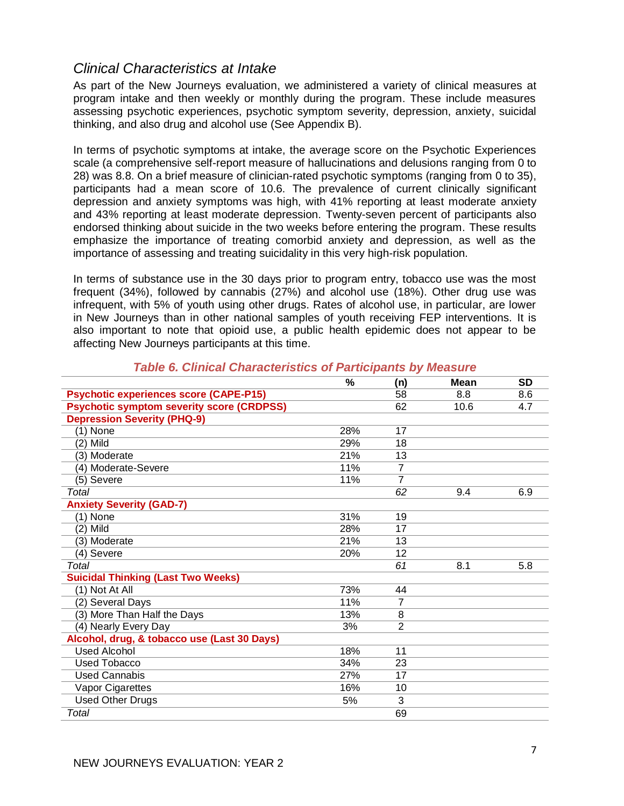# *Clinical Characteristics at Intake*

As part of the New Journeys evaluation, we administered a variety of clinical measures at program intake and then weekly or monthly during the program. These include measures assessing psychotic experiences, psychotic symptom severity, depression, anxiety, suicidal thinking, and also drug and alcohol use (See Appendix B).

In terms of psychotic symptoms at intake, the average score on the Psychotic Experiences scale (a comprehensive self-report measure of hallucinations and delusions ranging from 0 to 28) was 8.8. On a brief measure of clinician-rated psychotic symptoms (ranging from 0 to 35), participants had a mean score of 10.6. The prevalence of current clinically significant depression and anxiety symptoms was high, with 41% reporting at least moderate anxiety and 43% reporting at least moderate depression. Twenty-seven percent of participants also endorsed thinking about suicide in the two weeks before entering the program. These results emphasize the importance of treating comorbid anxiety and depression, as well as the importance of assessing and treating suicidality in this very high-risk population.

In terms of substance use in the 30 days prior to program entry, tobacco use was the most frequent (34%), followed by cannabis (27%) and alcohol use (18%). Other drug use was infrequent, with 5% of youth using other drugs. Rates of alcohol use, in particular, are lower in New Journeys than in other national samples of youth receiving FEP interventions. It is also important to note that opioid use, a public health epidemic does not appear to be affecting New Journeys participants at this time.

|                                                  | %   | (n)             | <b>Mean</b> | <b>SD</b> |
|--------------------------------------------------|-----|-----------------|-------------|-----------|
| <b>Psychotic experiences score (CAPE-P15)</b>    |     | 58              | 8.8         | 8.6       |
| <b>Psychotic symptom severity score (CRDPSS)</b> |     | 62              | 10.6        | 4.7       |
| <b>Depression Severity (PHQ-9)</b>               |     |                 |             |           |
| $(1)$ None                                       | 28% | 17              |             |           |
| (2) Mild                                         | 29% | 18              |             |           |
| (3) Moderate                                     | 21% | 13              |             |           |
| (4) Moderate-Severe                              | 11% | 7               |             |           |
| (5) Severe                                       | 11% | 7               |             |           |
| Total                                            |     | 62              | 9.4         | 6.9       |
| <b>Anxiety Severity (GAD-7)</b>                  |     |                 |             |           |
| (1) None                                         | 31% | 19              |             |           |
| (2) Mild                                         | 28% | 17              |             |           |
| (3) Moderate                                     | 21% | 13              |             |           |
| Severe<br>$\left( 4\right)$                      | 20% | 12              |             |           |
| Total                                            |     | 61              | 8.1         | 5.8       |
| <b>Suicidal Thinking (Last Two Weeks)</b>        |     |                 |             |           |
| (1) Not At All                                   | 73% | 44              |             |           |
| (2) Several Days                                 | 11% | 7               |             |           |
| (3) More Than Half the Days                      | 13% | 8               |             |           |
| (4) Nearly Every Day                             | 3%  | $\overline{2}$  |             |           |
| Alcohol, drug, & tobacco use (Last 30 Days)      |     |                 |             |           |
| <b>Used Alcohol</b>                              | 18% | 11              |             |           |
| Used Tobacco                                     | 34% | 23              |             |           |
| <b>Used Cannabis</b>                             | 27% | $\overline{17}$ |             |           |
| Vapor Cigarettes                                 | 16% | 10              |             |           |
| <b>Used Other Drugs</b>                          | 5%  | 3               |             |           |
| Total                                            |     | 69              |             |           |

#### *Table 6. Clinical Characteristics of Participants by Measure*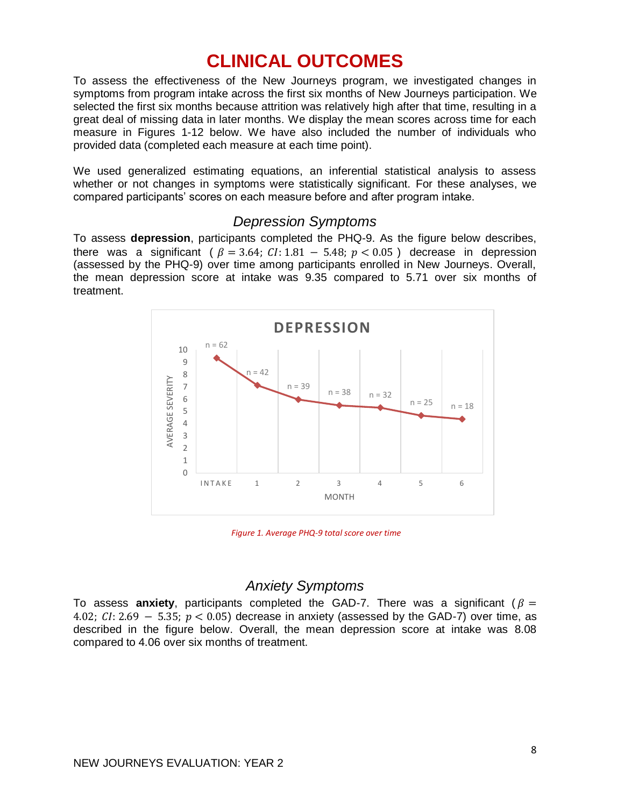# **CLINICAL OUTCOMES**

To assess the effectiveness of the New Journeys program, we investigated changes in symptoms from program intake across the first six months of New Journeys participation. We selected the first six months because attrition was relatively high after that time, resulting in a great deal of missing data in later months. We display the mean scores across time for each measure in Figures 1-12 below. We have also included the number of individuals who provided data (completed each measure at each time point).

We used generalized estimating equations, an inferential statistical analysis to assess whether or not changes in symptoms were statistically significant. For these analyses, we compared participants' scores on each measure before and after program intake.

# *Depression Symptoms*

To assess **depression**, participants completed the PHQ-9. As the figure below describes, there was a significant (  $\beta = 3.64$ ;  $CI: 1.81 - 5.48$ ;  $p < 0.05$  ) decrease in depression (assessed by the PHQ-9) over time among participants enrolled in New Journeys. Overall, the mean depression score at intake was 9.35 compared to 5.71 over six months of treatment.



*Figure 1. Average PHQ-9 total score over time*

# *Anxiety Symptoms*

To assess **anxiety**, participants completed the GAD-7. There was a significant ( $\beta$  = 4.02;  $CI: 2.69 - 5.35$ ;  $p < 0.05$ ) decrease in anxiety (assessed by the GAD-7) over time, as described in the figure below. Overall, the mean depression score at intake was 8.08 compared to 4.06 over six months of treatment.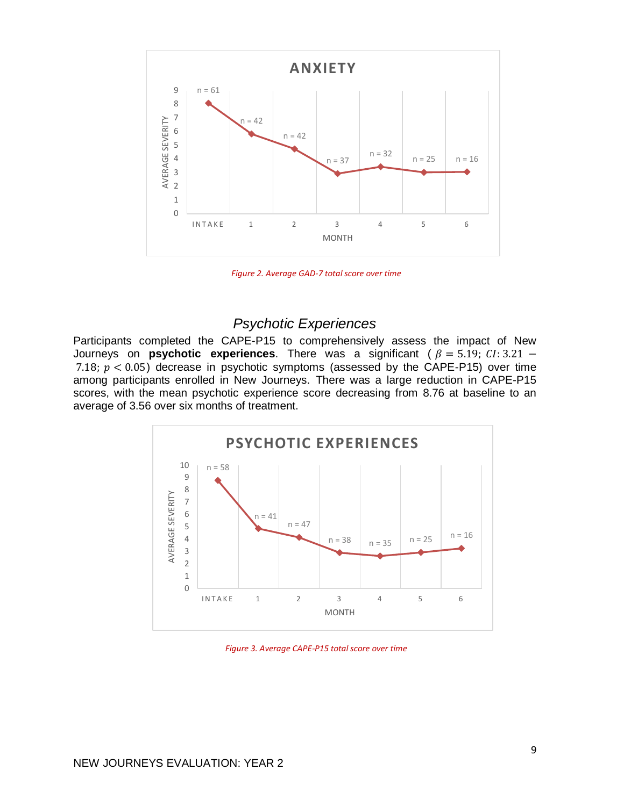

*Figure 2. Average GAD-7 total score over time*

## *Psychotic Experiences*

Participants completed the CAPE-P15 to comprehensively assess the impact of New Journeys on **psychotic experiences**. There was a significant ( $\beta = 5.19$ ; CI: 3.21 − 7.18;  $p < 0.05$ ) decrease in psychotic symptoms (assessed by the CAPE-P15) over time among participants enrolled in New Journeys. There was a large reduction in CAPE-P15 scores, with the mean psychotic experience score decreasing from 8.76 at baseline to an average of 3.56 over six months of treatment.



*Figure 3. Average CAPE-P15 total score over time*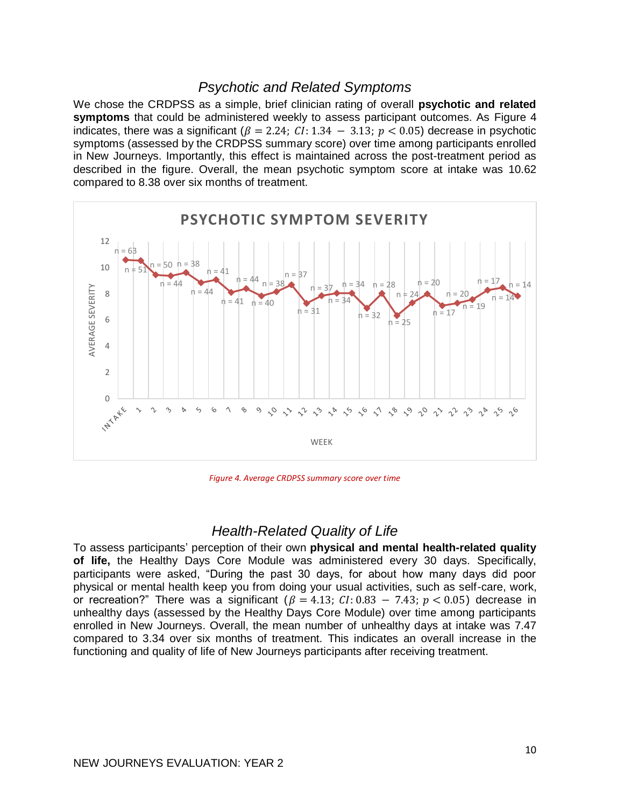# *Psychotic and Related Symptoms*

We chose the CRDPSS as a simple, brief clinician rating of overall **psychotic and related symptoms** that could be administered weekly to assess participant outcomes. As Figure 4 indicates, there was a significant ( $\beta = 2.24$ ;  $CI: 1.34 - 3.13$ ;  $p < 0.05$ ) decrease in psychotic symptoms (assessed by the CRDPSS summary score) over time among participants enrolled in New Journeys. Importantly, this effect is maintained across the post-treatment period as described in the figure. Overall, the mean psychotic symptom score at intake was 10.62 compared to 8.38 over six months of treatment.



*Figure 4. Average CRDPSS summary score over time*

# *Health-Related Quality of Life*

To assess participants' perception of their own **physical and mental health-related quality of life,** the Healthy Days Core Module was administered every 30 days. Specifically, participants were asked, "During the past 30 days, for about how many days did poor physical or mental health keep you from doing your usual activities, such as self-care, work, or recreation?" There was a significant  $(\beta = 4.13; C1: 0.83 - 7.43; p < 0.05)$  decrease in unhealthy days (assessed by the Healthy Days Core Module) over time among participants enrolled in New Journeys. Overall, the mean number of unhealthy days at intake was 7.47 compared to 3.34 over six months of treatment. This indicates an overall increase in the functioning and quality of life of New Journeys participants after receiving treatment.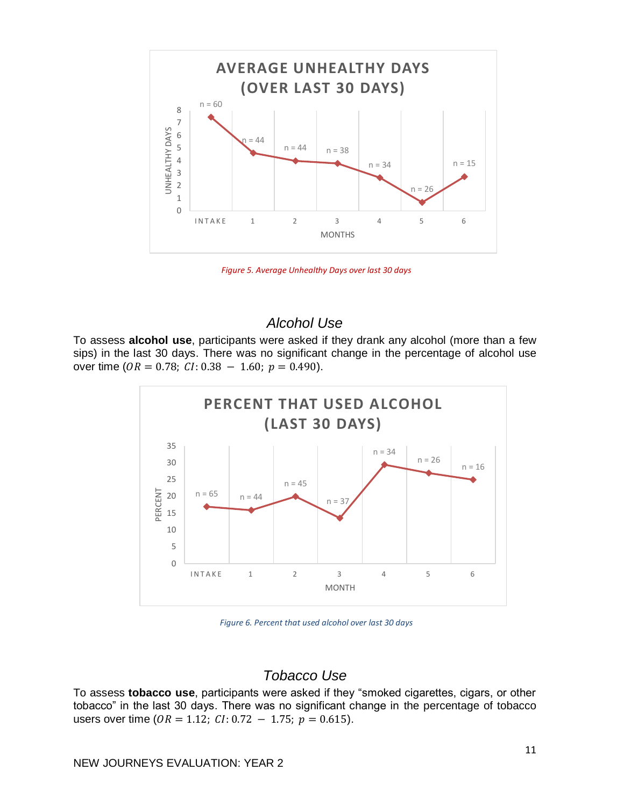

*Figure 5. Average Unhealthy Days over last 30 days*

# *Alcohol Use*

To assess **alcohol use**, participants were asked if they drank any alcohol (more than a few sips) in the last 30 days. There was no significant change in the percentage of alcohol use over time ( $OR = 0.78$ ;  $CI: 0.38 - 1.60$ ;  $p = 0.490$ ).



*Figure 6. Percent that used alcohol over last 30 days*

# *Tobacco Use*

To assess **tobacco use**, participants were asked if they "smoked cigarettes, cigars, or other tobacco" in the last 30 days. There was no significant change in the percentage of tobacco users over time ( $OR = 1.12$ ;  $CI: 0.72 - 1.75$ ;  $p = 0.615$ ).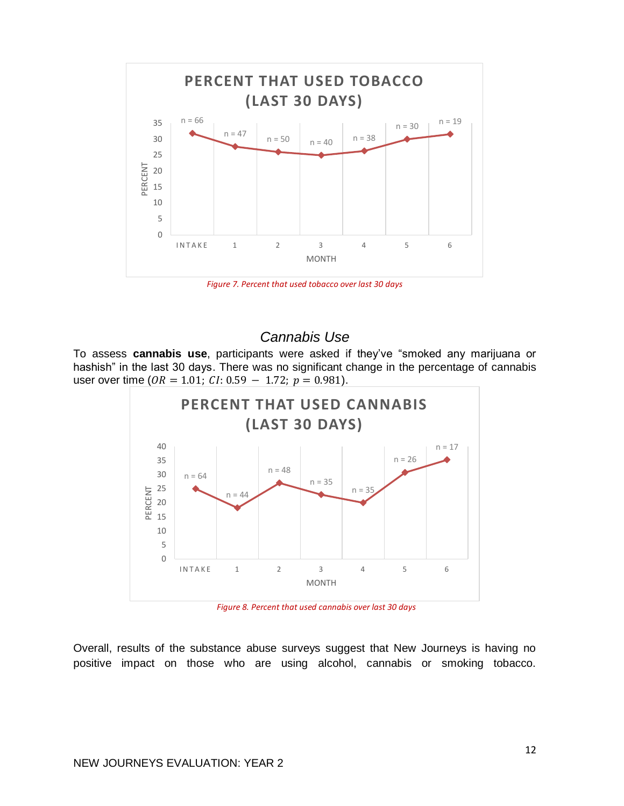

*Figure 7. Percent that used tobacco over last 30 days*

# *Cannabis Use*

To assess **cannabis use**, participants were asked if they've "smoked any marijuana or hashish" in the last 30 days. There was no significant change in the percentage of cannabis user over time ( $OR = 1.01$ ;  $CI: 0.59 - 1.72$ ;  $p = 0.981$ ).



*Figure 8. Percent that used cannabis over last 30 days*

Overall, results of the substance abuse surveys suggest that New Journeys is having no positive impact on those who are using alcohol, cannabis or smoking tobacco.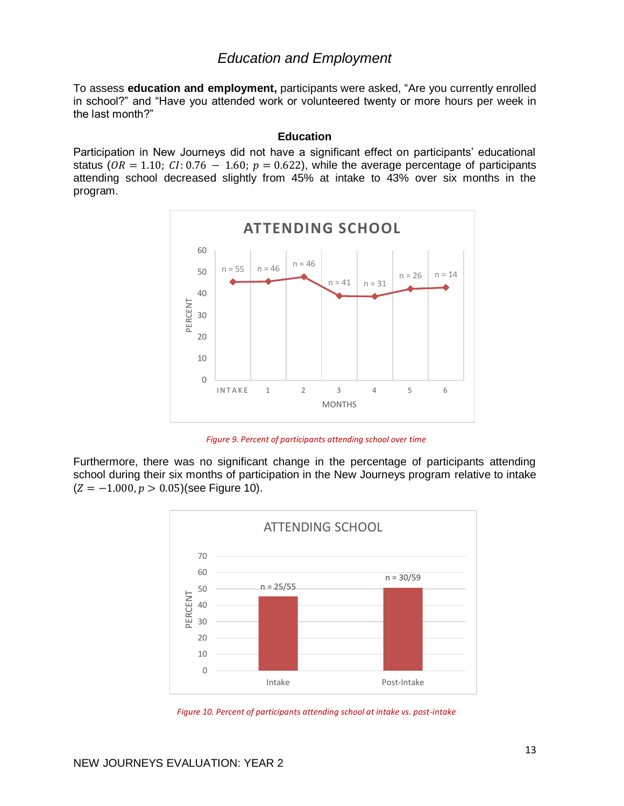## *Education and Employment*

To assess **education and employment,** participants were asked, "Are you currently enrolled in school?" and "Have you attended work or volunteered twenty or more hours per week in the last month?"

#### **Education**

Participation in New Journeys did not have a significant effect on participants' educational status ( $OR = 1.10$ ;  $CI: 0.76 - 1.60$ ;  $p = 0.622$ ), while the average percentage of participants attending school decreased slightly from 45% at intake to 43% over six months in the program.



*Figure 9. Percent of participants attending school over time*

Furthermore, there was no significant change in the percentage of participants attending school during their six months of participation in the New Journeys program relative to intake  $(Z = -1.000, p > 0.05)$ (see Figure 10).



*Figure 10. Percent of participants attending school at intake vs. post-intake*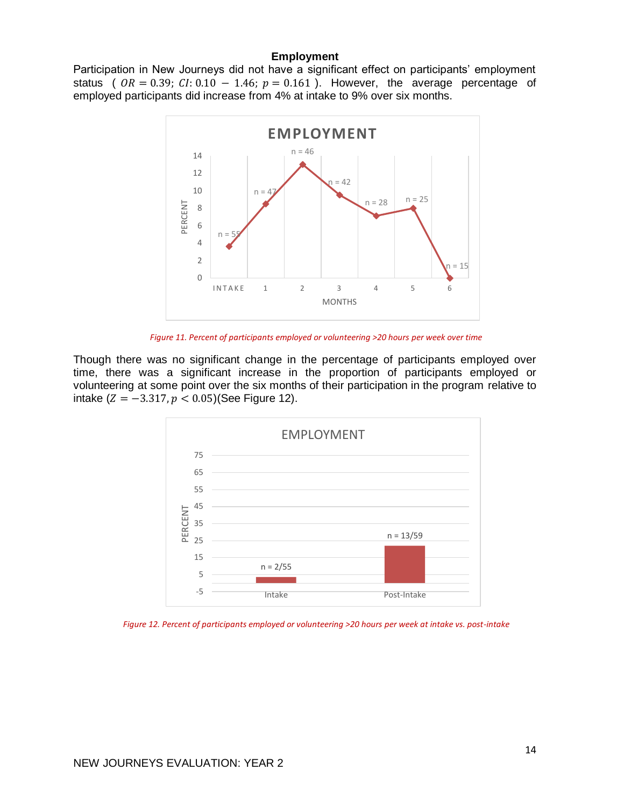#### **Employment**

Participation in New Journeys did not have a significant effect on participants' employment status (  $OR = 0.39$ ;  $CI: 0.10 - 1.46$ ;  $p = 0.161$  ). However, the average percentage of employed participants did increase from 4% at intake to 9% over six months.



*Figure 11. Percent of participants employed or volunteering >20 hours per week over time*

Though there was no significant change in the percentage of participants employed over time, there was a significant increase in the proportion of participants employed or volunteering at some point over the six months of their participation in the program relative to intake ( $Z = -3.317, p < 0.05$ )(See Figure 12).



*Figure 12. Percent of participants employed or volunteering >20 hours per week at intake vs. post-intake*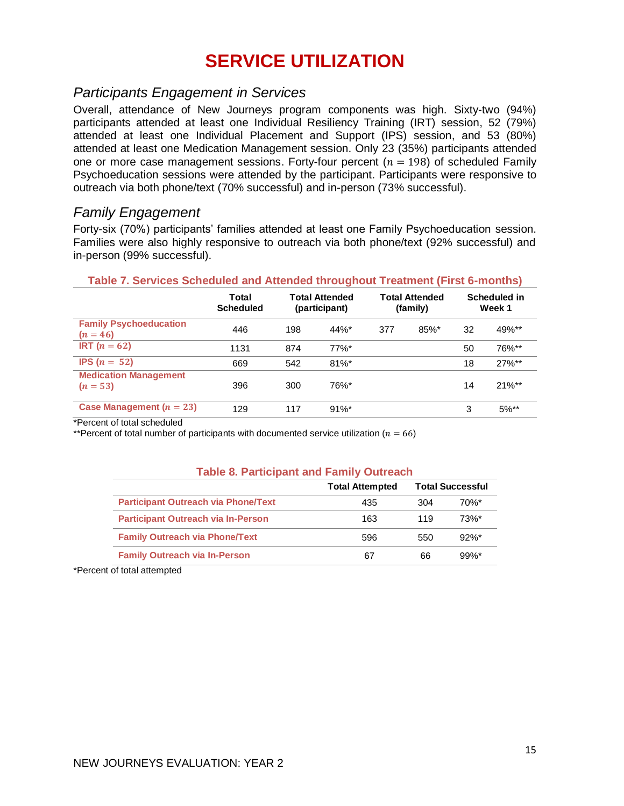# **SERVICE UTILIZATION**

# *Participants Engagement in Services*

Overall, attendance of New Journeys program components was high. Sixty-two (94%) participants attended at least one Individual Resiliency Training (IRT) session, 52 (79%) attended at least one Individual Placement and Support (IPS) session, and 53 (80%) attended at least one Medication Management session. Only 23 (35%) participants attended one or more case management sessions. Forty-four percent ( $n = 198$ ) of scheduled Family Psychoeducation sessions were attended by the participant. Participants were responsive to outreach via both phone/text (70% successful) and in-person (73% successful).

# *Family Engagement*

Forty-six (70%) participants' families attended at least one Family Psychoeducation session. Families were also highly responsive to outreach via both phone/text (92% successful) and in-person (99% successful).

| Table 7. Services Scheduled and Attended throughout Treatment (First 6-months) |                                                                     |     |          |                                   |                        |    |          |  |  |  |  |  |
|--------------------------------------------------------------------------------|---------------------------------------------------------------------|-----|----------|-----------------------------------|------------------------|----|----------|--|--|--|--|--|
|                                                                                | Total<br><b>Total Attended</b><br><b>Scheduled</b><br>(participant) |     |          | <b>Total Attended</b><br>(family) | Scheduled in<br>Week 1 |    |          |  |  |  |  |  |
| <b>Family Psychoeducation</b><br>$(n = 46)$                                    | 446                                                                 | 198 | $44\%$ * | 377                               | $85\%$ *               | 32 | $49\%**$ |  |  |  |  |  |

**IRT**  $(n = 62)$  1131 874 77%\* 50 76%\*\* **IPS**  $(n = 52)$  669 542 81%\* 18 27%\*\*

# **(** = **)** 396 300 76%\* 14 21%\*\* **Case Management**  $(n = 23)$  129 117 91%\* 3 5%\*\*

\*Percent of total scheduled

**Medication Management**

\*\*Percent of total number of participants with documented service utilization ( $n = 66$ )

#### **Table 8. Participant and Family Outreach**

|                                            | <b>Total Attempted</b> |     | <b>Total Successful</b> |
|--------------------------------------------|------------------------|-----|-------------------------|
| <b>Participant Outreach via Phone/Text</b> | 435                    | 304 | 70%*                    |
| <b>Participant Outreach via In-Person</b>  | 163                    | 119 | $73%$ *                 |
| <b>Family Outreach via Phone/Text</b>      | 596                    | 550 | $92%$ *                 |
| <b>Family Outreach via In-Person</b>       | 67                     | 66  | $99\%$ *                |

\*Percent of total attempted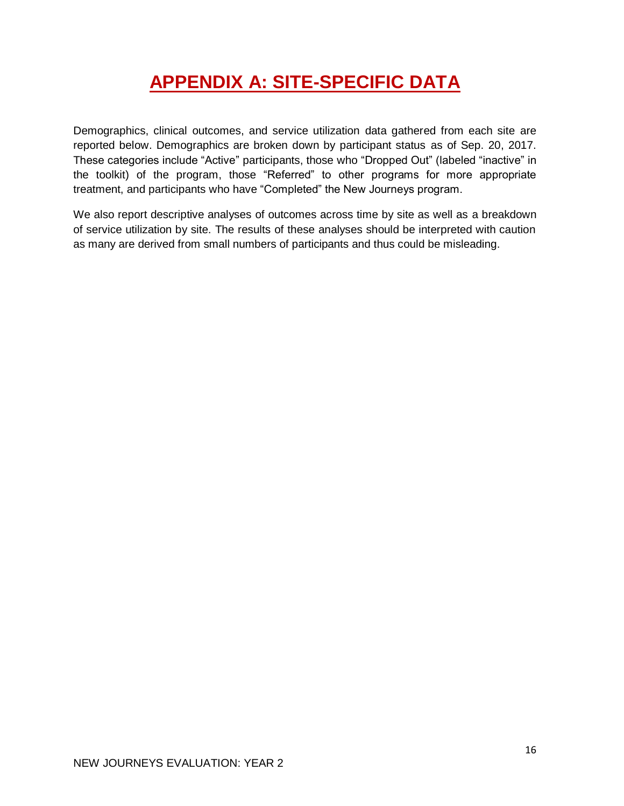# **APPENDIX A: SITE-SPECIFIC DATA**

Demographics, clinical outcomes, and service utilization data gathered from each site are reported below. Demographics are broken down by participant status as of Sep. 20, 2017. These categories include "Active" participants, those who "Dropped Out" (labeled "inactive" in the toolkit) of the program, those "Referred" to other programs for more appropriate treatment, and participants who have "Completed" the New Journeys program.

We also report descriptive analyses of outcomes across time by site as well as a breakdown of service utilization by site. The results of these analyses should be interpreted with caution as many are derived from small numbers of participants and thus could be misleading.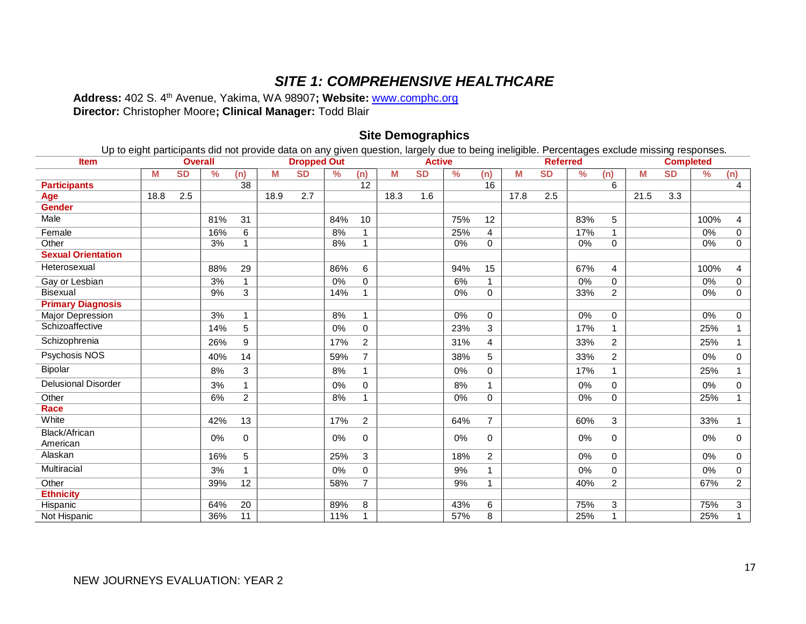# *SITE 1: COMPREHENSIVE HEALTHCARE*

**Address:** 402 S. 4th Avenue, Yakima, WA 98907**; Website:** www.comphc.org **Director:** Christopher Moore**; Clinical Manager:** Todd Blair

#### **Site Demographics**

Up to eight participants did not provide data on any given question, largely due to being ineligible. Percentages exclude missing responses.

| <b>Item</b>                      | <b>Overall</b> |           |               |                 |      | <b>Dropped Out</b><br><b>Active</b> |     |                |      | <b>Referred</b> |       |                |      |           | <b>Completed</b> |                |      |                  |      |                |
|----------------------------------|----------------|-----------|---------------|-----------------|------|-------------------------------------|-----|----------------|------|-----------------|-------|----------------|------|-----------|------------------|----------------|------|------------------|------|----------------|
|                                  | M              | <b>SD</b> | $\frac{9}{6}$ | (n)             | М    | $\overline{\text{SD}}$              | %   | (n)            | М    | <b>SD</b>       | %     | (n)            | M    | <b>SD</b> | $\frac{9}{6}$    | (n)            | М    | <b>SD</b>        | ℅    | (n)            |
| <b>Participants</b>              |                |           |               | 38              |      |                                     |     | 12             |      |                 |       | 16             |      |           |                  | 6              |      |                  |      | 4              |
| Age                              | 18.8           | 2.5       |               |                 | 18.9 | 2.7                                 |     |                | 18.3 | 1.6             |       |                | 17.8 | 2.5       |                  |                | 21.5 | $\overline{3.3}$ |      |                |
| <b>Gender</b>                    |                |           |               |                 |      |                                     |     |                |      |                 |       |                |      |           |                  |                |      |                  |      |                |
| Male                             |                |           | 81%           | 31              |      |                                     | 84% | 10             |      |                 | 75%   | 12             |      |           | 83%              | 5              |      |                  | 100% | 4              |
| Female                           |                |           | 16%           | 6               |      |                                     | 8%  | 1              |      |                 | 25%   | 4              |      |           | 17%              | $\mathbf 1$    |      |                  | 0%   | $\mathbf 0$    |
| Other                            |                |           | 3%            |                 |      |                                     | 8%  | 1              |      |                 | 0%    | $\mathbf 0$    |      |           | 0%               | $\mathbf 0$    |      |                  | 0%   | $\mathbf 0$    |
| <b>Sexual Orientation</b>        |                |           |               |                 |      |                                     |     |                |      |                 |       |                |      |           |                  |                |      |                  |      |                |
| Heterosexual                     |                |           | 88%           | 29              |      |                                     | 86% | 6              |      |                 | 94%   | 15             |      |           | 67%              | 4              |      |                  | 100% | 4              |
| Gay or Lesbian                   |                |           | 3%            | $\mathbf{1}$    |      |                                     | 0%  | $\mathbf 0$    |      |                 | 6%    |                |      |           | 0%               | $\mathbf 0$    |      |                  | 0%   | $\mathbf 0$    |
| <b>Bisexual</b>                  |                |           | 9%            | 3               |      |                                     | 14% | 1              |      |                 | 0%    | 0              |      |           | 33%              | $\overline{c}$ |      |                  | 0%   | 0              |
| <b>Primary Diagnosis</b>         |                |           |               |                 |      |                                     |     |                |      |                 |       |                |      |           |                  |                |      |                  |      |                |
| <b>Major Depression</b>          |                |           | 3%            | $\mathbf{1}$    |      |                                     | 8%  | $\overline{1}$ |      |                 | $0\%$ | $\mathbf 0$    |      |           | $0\%$            | $\mathbf 0$    |      |                  | 0%   | $\mathbf 0$    |
| Schizoaffective                  |                |           | 14%           | 5               |      |                                     | 0%  | 0              |      |                 | 23%   | 3              |      |           | 17%              |                |      |                  | 25%  |                |
| Schizophrenia                    |                |           | 26%           | 9               |      |                                     | 17% | $\overline{2}$ |      |                 | 31%   | 4              |      |           | 33%              | $\overline{2}$ |      |                  | 25%  | 1              |
| Psychosis NOS                    |                |           | 40%           | 14              |      |                                     | 59% | $\overline{7}$ |      |                 | 38%   | 5              |      |           | 33%              | $\overline{2}$ |      |                  | 0%   | $\mathbf 0$    |
| Bipolar                          |                |           | 8%            | 3               |      |                                     | 8%  | 1              |      |                 | 0%    | $\mathbf 0$    |      |           | 17%              | 1              |      |                  | 25%  | 1              |
| <b>Delusional Disorder</b>       |                |           | 3%            | 1               |      |                                     | 0%  | $\mathbf 0$    |      |                 | 8%    | 1              |      |           | 0%               | $\mathbf 0$    |      |                  | 0%   | 0              |
| Other                            |                |           | 6%            | $\overline{2}$  |      |                                     | 8%  | $\mathbf{1}$   |      |                 | 0%    | 0              |      |           | 0%               | 0              |      |                  | 25%  | 1              |
| <b>Race</b>                      |                |           |               |                 |      |                                     |     |                |      |                 |       |                |      |           |                  |                |      |                  |      |                |
| White                            |                |           | 42%           | 13              |      |                                     | 17% | $\overline{2}$ |      |                 | 64%   | $\overline{7}$ |      |           | 60%              | 3              |      |                  | 33%  | 1              |
| <b>Black/African</b><br>American |                |           | 0%            | $\mathbf 0$     |      |                                     | 0%  | 0              |      |                 | 0%    | 0              |      |           | 0%               | 0              |      |                  | 0%   | $\mathbf 0$    |
| Alaskan                          |                |           | 16%           | 5               |      |                                     | 25% | 3              |      |                 | 18%   | $\overline{2}$ |      |           | 0%               | $\mathbf 0$    |      |                  | 0%   | 0              |
| Multiracial                      |                |           | 3%            |                 |      |                                     | 0%  | $\mathbf 0$    |      |                 | 9%    |                |      |           | 0%               | 0              |      |                  | 0%   | $\pmb{0}$      |
| Other                            |                |           | 39%           | $\overline{12}$ |      |                                     | 58% | $\overline{7}$ |      |                 | 9%    | 1              |      |           | 40%              | $\overline{c}$ |      |                  | 67%  | $\overline{2}$ |
| <b>Ethnicity</b>                 |                |           |               |                 |      |                                     |     |                |      |                 |       |                |      |           |                  |                |      |                  |      |                |
| Hispanic                         |                |           | 64%           | 20              |      |                                     | 89% | 8              |      |                 | 43%   | 6              |      |           | 75%              | 3              |      |                  | 75%  | 3              |
| Not Hispanic                     |                |           | 36%           | $\overline{11}$ |      |                                     | 11% | 1              |      |                 | 57%   | 8              |      |           | 25%              |                |      |                  | 25%  | $\mathbf{1}$   |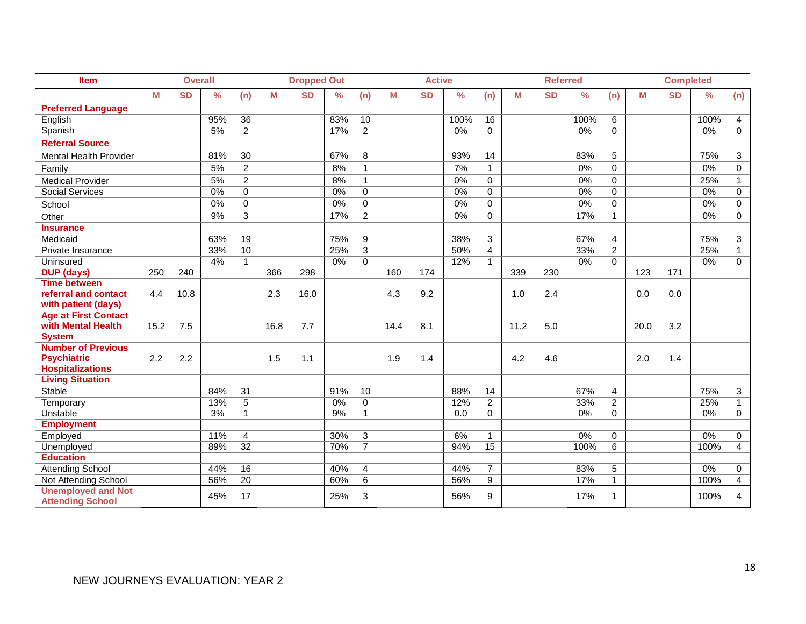| Item                                                 | <b>Overall</b> |           |               |                 | <b>Dropped Out</b> |           |               | <b>Active</b>  |      |           |               | <b>Referred</b> |      |           |               | <b>Completed</b> |      |           |               |                |
|------------------------------------------------------|----------------|-----------|---------------|-----------------|--------------------|-----------|---------------|----------------|------|-----------|---------------|-----------------|------|-----------|---------------|------------------|------|-----------|---------------|----------------|
|                                                      | M              | <b>SD</b> | $\frac{9}{6}$ | (n)             | М                  | <b>SD</b> | $\frac{0}{0}$ | (n)            | M    | <b>SD</b> | $\frac{0}{0}$ | (n)             | M    | <b>SD</b> | $\frac{0}{0}$ | (n)              | M    | <b>SD</b> | $\frac{0}{0}$ | (n)            |
| <b>Preferred Language</b>                            |                |           |               |                 |                    |           |               |                |      |           |               |                 |      |           |               |                  |      |           |               |                |
| English                                              |                |           | 95%           | 36              |                    |           | 83%           | 10             |      |           | 100%          | 16              |      |           | 100%          | 6                |      |           | 100%          | 4              |
| Spanish                                              |                |           | 5%            | $\overline{c}$  |                    |           | 17%           | $\overline{c}$ |      |           | 0%            | $\mathbf 0$     |      |           | 0%            | $\mathbf 0$      |      |           | 0%            | $\mathbf 0$    |
| <b>Referral Source</b>                               |                |           |               |                 |                    |           |               |                |      |           |               |                 |      |           |               |                  |      |           |               |                |
| <b>Mental Health Provider</b>                        |                |           | 81%           | 30              |                    |           | 67%           | 8              |      |           | 93%           | 14              |      |           | 83%           | 5                |      |           | 75%           | $\mathbf{3}$   |
| Family                                               |                |           | 5%            | $\overline{c}$  |                    |           | 8%            | $\mathbf{1}$   |      |           | 7%            | $\mathbf{1}$    |      |           | 0%            | 0                |      |           | 0%            | $\mathbf 0$    |
| <b>Medical Provider</b>                              |                |           | 5%            | $\overline{c}$  |                    |           | 8%            | $\mathbf{1}$   |      |           | 0%            | $\Omega$        |      |           | 0%            | 0                |      |           | 25%           | 1              |
| <b>Social Services</b>                               |                |           | 0%            | $\Omega$        |                    |           | 0%            | $\mathbf 0$    |      |           | 0%            | $\Omega$        |      |           | $0\%$         | $\Omega$         |      |           | 0%            | $\mathbf 0$    |
| School                                               |                |           | 0%            | $\mathbf 0$     |                    |           | 0%            | $\mathbf 0$    |      |           | 0%            | $\mathbf 0$     |      |           | 0%            | 0                |      |           | 0%            | 0              |
| Other                                                |                |           | 9%            | 3               |                    |           | 17%           | $\overline{2}$ |      |           | 0%            | $\mathbf 0$     |      |           | 17%           | $\mathbf{1}$     |      |           | 0%            | 0              |
| <b>Insurance</b>                                     |                |           |               |                 |                    |           |               |                |      |           |               |                 |      |           |               |                  |      |           |               |                |
| Medicaid                                             |                |           | 63%           | 19              |                    |           | 75%           | 9              |      |           | 38%           | 3               |      |           | 67%           | 4                |      |           | 75%           | 3              |
| Private Insurance                                    |                |           | 33%           | 10              |                    |           | 25%           | 3              |      |           | 50%           | $\overline{4}$  |      |           | 33%           | $\overline{2}$   |      |           | 25%           | $\mathbf{1}$   |
| Uninsured                                            |                |           | 4%            | $\mathbf{1}$    |                    |           | 0%            | 0              |      |           | 12%           | $\mathbf{1}$    |      |           | 0%            | 0                |      |           | 0%            | $\mathbf 0$    |
| <b>DUP</b> (days)                                    | 250            | 240       |               |                 | 366                | 298       |               |                | 160  | 174       |               |                 | 339  | 230       |               |                  | 123  | 171       |               |                |
| <b>Time between</b>                                  |                |           |               |                 |                    |           |               |                |      |           |               |                 |      |           |               |                  |      |           |               |                |
| referral and contact                                 | 4.4            | 10.8      |               |                 | 2.3                | 16.0      |               |                | 4.3  | 9.2       |               |                 | 1.0  | 2.4       |               |                  | 0.0  | 0.0       |               |                |
| with patient (days)                                  |                |           |               |                 |                    |           |               |                |      |           |               |                 |      |           |               |                  |      |           |               |                |
| <b>Age at First Contact</b>                          |                |           |               |                 |                    |           |               |                |      |           |               |                 |      |           |               |                  |      |           |               |                |
| with Mental Health                                   | 15.2           | 7.5       |               |                 | 16.8               | 7.7       |               |                | 14.4 | 8.1       |               |                 | 11.2 | 5.0       |               |                  | 20.0 | 3.2       |               |                |
| <b>System</b>                                        |                |           |               |                 |                    |           |               |                |      |           |               |                 |      |           |               |                  |      |           |               |                |
| <b>Number of Previous</b>                            |                |           |               |                 |                    |           |               |                |      |           |               |                 |      |           |               |                  |      |           |               |                |
| <b>Psychiatric</b>                                   | 2.2            | 2.2       |               |                 | 1.5                | 1.1       |               |                | 1.9  | 1.4       |               |                 | 4.2  | 4.6       |               |                  | 2.0  | 1.4       |               |                |
| <b>Hospitalizations</b>                              |                |           |               |                 |                    |           |               |                |      |           |               |                 |      |           |               |                  |      |           |               |                |
| <b>Living Situation</b>                              |                |           |               |                 |                    |           |               |                |      |           |               |                 |      |           |               |                  |      |           |               |                |
| <b>Stable</b>                                        |                |           | 84%           | $\overline{31}$ |                    |           | 91%           | 10             |      |           | 88%           | 14              |      |           | 67%           | $\overline{4}$   |      |           | 75%           | $\overline{3}$ |
| Temporary                                            |                |           | 13%           | $\overline{5}$  |                    |           | 0%            | $\mathbf 0$    |      |           | 12%           | $\overline{c}$  |      |           | 33%           | $\overline{c}$   |      |           | 25%           | 1              |
| Unstable                                             |                |           | 3%            | $\mathbf{1}$    |                    |           | 9%            | $\mathbf{1}$   |      |           | 0.0           | $\Omega$        |      |           | 0%            | $\mathbf 0$      |      |           | 0%            | $\mathbf 0$    |
| <b>Employment</b>                                    |                |           |               |                 |                    |           |               |                |      |           |               |                 |      |           |               |                  |      |           |               |                |
| Employed                                             |                |           | 11%           | $\overline{4}$  |                    |           | 30%           | 3              |      |           | 6%            | $\mathbf{1}$    |      |           | $0\%$         | 0                |      |           | $0\%$         | 0              |
| Unemployed                                           |                |           | 89%           | 32              |                    |           | 70%           | $\overline{7}$ |      |           | 94%           | 15              |      |           | 100%          | 6                |      |           | 100%          | $\overline{4}$ |
| <b>Education</b>                                     |                |           |               |                 |                    |           |               |                |      |           |               |                 |      |           |               |                  |      |           |               |                |
| <b>Attending School</b>                              |                |           | 44%           | 16              |                    |           | 40%           | 4              |      |           | 44%           | $\overline{7}$  |      |           | 83%           | 5                |      |           | 0%            | 0              |
| Not Attending School                                 |                |           | 56%           | $\overline{20}$ |                    |           | 60%           | 6              |      |           | 56%           | 9               |      |           | 17%           | $\mathbf{1}$     |      |           | 100%          | 4              |
| <b>Unemployed and Not</b><br><b>Attending School</b> |                |           | 45%           | 17              |                    |           | 25%           | 3              |      |           | 56%           | 9               |      |           | 17%           | 1                |      |           | 100%          | 4              |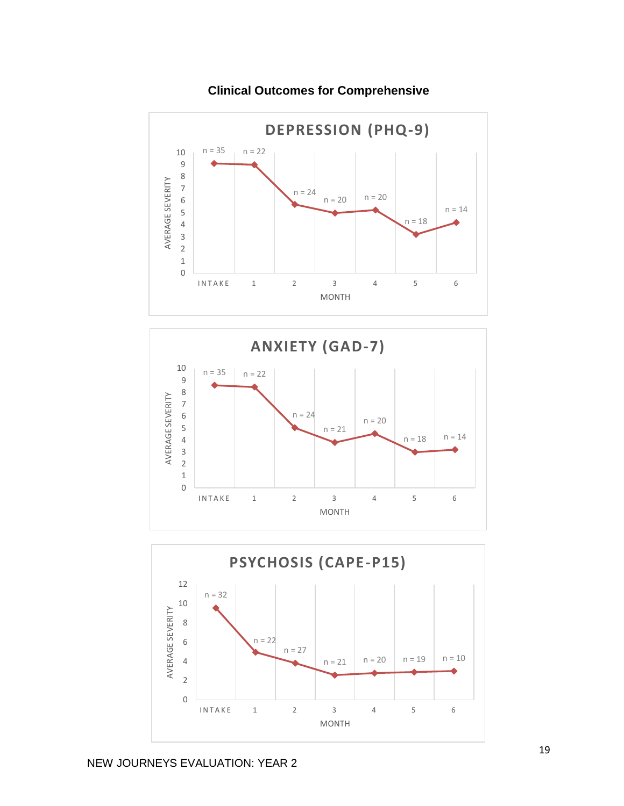

**Clinical Outcomes for Comprehensive**



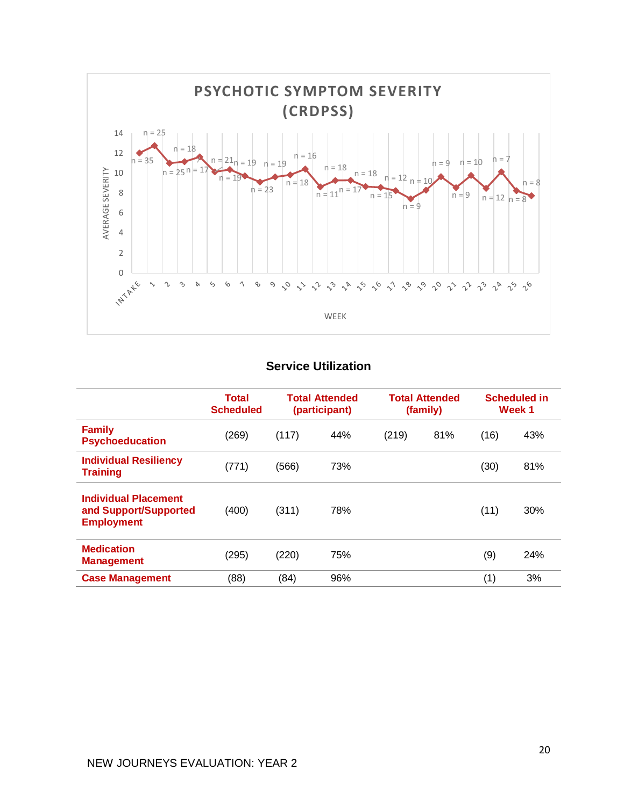

# **Service Utilization**

|                                                                           | <b>Total</b><br><b>Scheduled</b> |       | <b>Total Attended</b><br>(participant) |       | <b>Total Attended</b><br>(family) |      | <b>Scheduled in</b><br>Week 1 |
|---------------------------------------------------------------------------|----------------------------------|-------|----------------------------------------|-------|-----------------------------------|------|-------------------------------|
| <b>Family</b><br><b>Psychoeducation</b>                                   | (269)                            | (117) | 44%                                    | (219) | 81%                               | (16) | 43%                           |
| <b>Individual Resiliency</b><br><b>Training</b>                           | (771)                            | (566) | 73%                                    |       |                                   | (30) | 81%                           |
| <b>Individual Placement</b><br>and Support/Supported<br><b>Employment</b> | (400)                            | (311) | 78%                                    |       |                                   | (11) | 30%                           |
| <b>Medication</b><br><b>Management</b>                                    | (295)                            | (220) | 75%                                    |       |                                   | (9)  | 24%                           |
| <b>Case Management</b>                                                    | (88)                             | (84)  | 96%                                    |       |                                   | (1)  | 3%                            |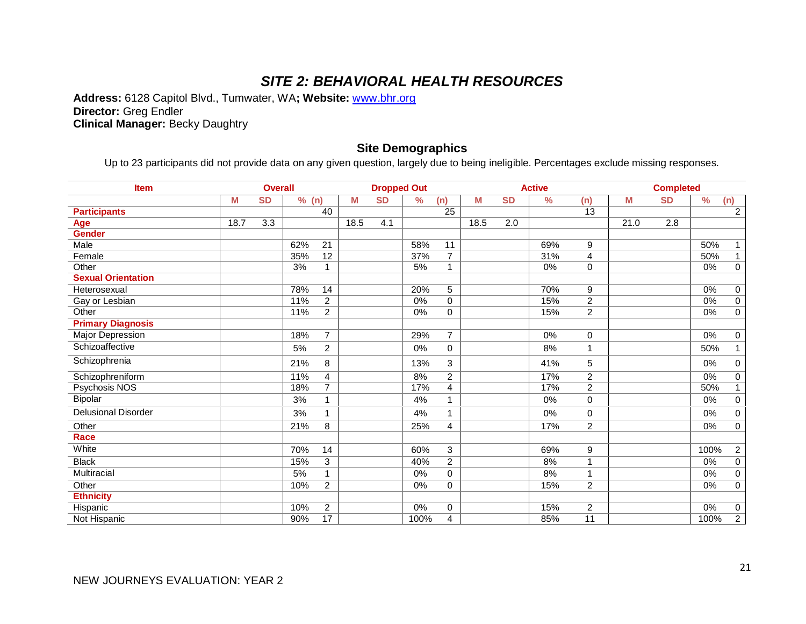# *SITE 2: BEHAVIORAL HEALTH RESOURCES*

**Address:** 6128 Capitol Blvd., Tumwater, WA**; Website:** www.bhr.org **Director:** Greg Endler **Clinical Manager:** Becky Daughtry

## **Site Demographics**

Up to 23 participants did not provide data on any given question, largely due to being ineligible. Percentages exclude missing responses.

| <b>Item</b>                | <b>Overall</b> |           |       |                 |      | <b>Dropped Out</b> |      |                 |      |           | <b>Active</b> |                 | <b>Completed</b> |           |               |                     |
|----------------------------|----------------|-----------|-------|-----------------|------|--------------------|------|-----------------|------|-----------|---------------|-----------------|------------------|-----------|---------------|---------------------|
|                            | M              | <b>SD</b> | % (n) |                 | M    | <b>SD</b>          | $\%$ | (n)             | M    | <b>SD</b> | $\frac{9}{6}$ | (n)             | M                | <b>SD</b> | $\frac{0}{0}$ | (n)                 |
| <b>Participants</b>        |                |           |       | 40              |      |                    |      | $\overline{25}$ |      |           |               | 13              |                  |           |               | $\overline{c}$      |
| Age                        | 18.7           | 3.3       |       |                 | 18.5 | 4.1                |      |                 | 18.5 | 2.0       |               |                 | 21.0             | 2.8       |               |                     |
| <b>Gender</b>              |                |           |       |                 |      |                    |      |                 |      |           |               |                 |                  |           |               |                     |
| Male                       |                |           | 62%   | 21              |      |                    | 58%  | 11              |      |           | 69%           | 9               |                  |           | 50%           |                     |
| Female                     |                |           | 35%   | 12              |      |                    | 37%  | $\overline{7}$  |      |           | 31%           | 4               |                  |           | 50%           | $\mathbf{1}$        |
| Other                      |                |           | 3%    | 1               |      |                    | 5%   | $\mathbf{1}$    |      |           | 0%            | $\mathbf 0$     |                  |           | $0\%$         | $\overline{0}$      |
| <b>Sexual Orientation</b>  |                |           |       |                 |      |                    |      |                 |      |           |               |                 |                  |           |               |                     |
| Heterosexual               |                |           | 78%   | $\overline{14}$ |      |                    | 20%  | 5               |      |           | 70%           | 9               |                  |           | $0\%$         | $\overline{0}$      |
| Gay or Lesbian             |                |           | 11%   | $\overline{c}$  |      |                    | 0%   | 0               |      |           | 15%           | $\overline{2}$  |                  |           | 0%            | $\overline{0}$      |
| Other                      |                |           | 11%   | $\overline{c}$  |      |                    | 0%   | 0               |      |           | 15%           | $\overline{2}$  |                  |           | $0\%$         | $\overline{0}$      |
| <b>Primary Diagnosis</b>   |                |           |       |                 |      |                    |      |                 |      |           |               |                 |                  |           |               |                     |
| Major Depression           |                |           | 18%   | $\overline{7}$  |      |                    | 29%  | $\overline{7}$  |      |           | 0%            | 0               |                  |           | 0%            | $\mathbf 0$         |
| Schizoaffective            |                |           | 5%    | $\overline{c}$  |      |                    | 0%   | 0               |      |           | 8%            | 1               |                  |           | 50%           | $\mathbf{1}$        |
| Schizophrenia              |                |           | 21%   | 8               |      |                    | 13%  | 3               |      |           | 41%           | 5               |                  |           | 0%            | $\mathsf{O}\xspace$ |
| Schizophreniform           |                |           | 11%   | 4               |      |                    | 8%   | $\overline{2}$  |      |           | 17%           | $\overline{2}$  |                  |           | 0%            | $\overline{0}$      |
| Psychosis NOS              |                |           | 18%   | $\overline{7}$  |      |                    | 17%  | $\overline{4}$  |      |           | 17%           | $\overline{2}$  |                  |           | 50%           | $\mathbf{1}$        |
| Bipolar                    |                |           | 3%    | 1               |      |                    | 4%   | 1               |      |           | 0%            | 0               |                  |           | 0%            | $\pmb{0}$           |
| <b>Delusional Disorder</b> |                |           | 3%    | 1               |      |                    | 4%   | 1               |      |           | 0%            | 0               |                  |           | 0%            | $\mathsf{O}\xspace$ |
| Other                      |                |           | 21%   | 8               |      |                    | 25%  | 4               |      |           | 17%           | $\overline{2}$  |                  |           | 0%            | $\overline{0}$      |
| <b>Race</b>                |                |           |       |                 |      |                    |      |                 |      |           |               |                 |                  |           |               |                     |
| White                      |                |           | 70%   | 14              |      |                    | 60%  | 3               |      |           | 69%           | 9               |                  |           | 100%          | $\overline{2}$      |
| <b>Black</b>               |                |           | 15%   | 3               |      |                    | 40%  | $\overline{c}$  |      |           | 8%            |                 |                  |           | 0%            | $\mathbf 0$         |
| Multiracial                |                |           | 5%    | 1               |      |                    | 0%   | 0               |      |           | 8%            |                 |                  |           | 0%            | $\mathsf{O}\xspace$ |
| Other                      |                |           | 10%   | 2               |      |                    | 0%   | 0               |      |           | 15%           | 2               |                  |           | 0%            | $\overline{0}$      |
| <b>Ethnicity</b>           |                |           |       |                 |      |                    |      |                 |      |           |               |                 |                  |           |               |                     |
| Hispanic                   |                |           | 10%   | $\overline{c}$  |      |                    | 0%   | 0               |      |           | 15%           | $\overline{c}$  |                  |           | 0%            | $\overline{0}$      |
| Not Hispanic               |                |           | 90%   | $\overline{17}$ |      |                    | 100% | 4               |      |           | 85%           | $\overline{11}$ |                  |           | 100%          | $\overline{2}$      |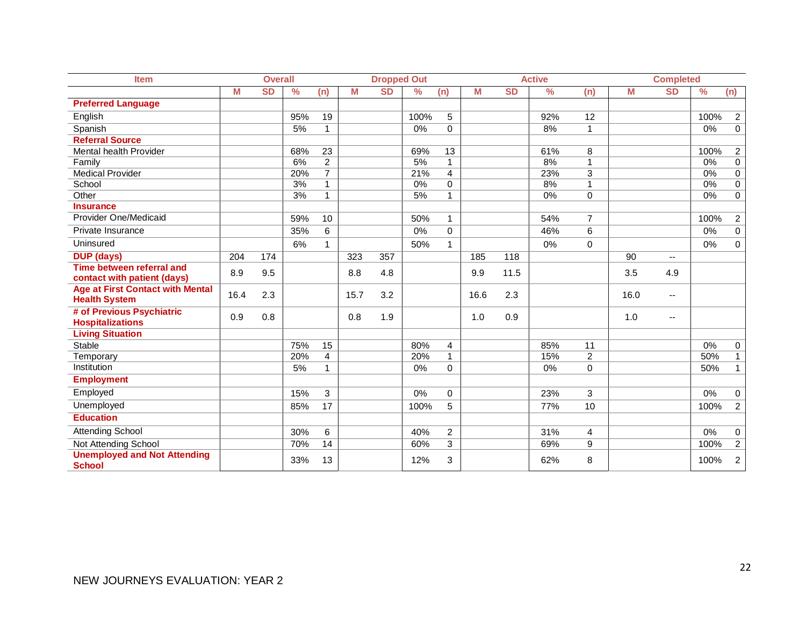| <b>Item</b>                                          | <b>Overall</b> |           |               | <b>Dropped Out</b> |      |           |               |                |      | <b>Active</b> |               | <b>Completed</b> |      |                          |      |                |
|------------------------------------------------------|----------------|-----------|---------------|--------------------|------|-----------|---------------|----------------|------|---------------|---------------|------------------|------|--------------------------|------|----------------|
|                                                      | M              | <b>SD</b> | $\frac{9}{6}$ | (n)                | M    | <b>SD</b> | $\frac{9}{6}$ | (n)            | М    | <b>SD</b>     | $\frac{9}{6}$ | (n)              | M    | <b>SD</b>                | $\%$ | (n)            |
| <b>Preferred Language</b>                            |                |           |               |                    |      |           |               |                |      |               |               |                  |      |                          |      |                |
| English                                              |                |           | 95%           | 19                 |      |           | 100%          | 5              |      |               | 92%           | 12               |      |                          | 100% | $\overline{2}$ |
| Spanish                                              |                |           | 5%            | $\mathbf{1}$       |      |           | 0%            | 0              |      |               | 8%            | $\mathbf{1}$     |      |                          | 0%   | $\pmb{0}$      |
| <b>Referral Source</b>                               |                |           |               |                    |      |           |               |                |      |               |               |                  |      |                          |      |                |
| Mental health Provider                               |                |           | 68%           | 23                 |      |           | 69%           | 13             |      |               | 61%           | 8                |      |                          | 100% | $\overline{2}$ |
| Family                                               |                |           | 6%            | $\overline{c}$     |      |           | 5%            | $\mathbf{1}$   |      |               | 8%            | 1                |      |                          | 0%   | $\pmb{0}$      |
| <b>Medical Provider</b>                              |                |           | 20%           | $\overline{7}$     |      |           | 21%           | $\overline{4}$ |      |               | 23%           | 3                |      |                          | 0%   | $\overline{0}$ |
| School                                               |                |           | 3%            | 1                  |      |           | 0%            | 0              |      |               | 8%            | 1                |      |                          | 0%   | $\pmb{0}$      |
| Other                                                |                |           | 3%            | $\mathbf{1}$       |      |           | 5%            | $\mathbf{1}$   |      |               | 0%            | $\Omega$         |      |                          | 0%   | $\mathbf 0$    |
| <b>Insurance</b>                                     |                |           |               |                    |      |           |               |                |      |               |               |                  |      |                          |      |                |
| Provider One/Medicaid                                |                |           | 59%           | 10                 |      |           | 50%           | 1.             |      |               | 54%           | $\overline{7}$   |      |                          | 100% | $\overline{2}$ |
| Private Insurance                                    |                |           | 35%           | 6                  |      |           | 0%            | 0              |      |               | 46%           | 6                |      |                          | 0%   | 0              |
| Uninsured                                            |                |           | 6%            | 1                  |      |           | 50%           | 1.             |      |               | 0%            | $\mathbf 0$      |      |                          | 0%   | $\pmb{0}$      |
| <b>DUP (days)</b>                                    | 204            | 174       |               |                    | 323  | 357       |               |                | 185  | 118           |               |                  | 90   | $\overline{\phantom{a}}$ |      |                |
| <b>Time between referral and</b>                     | 8.9            | 9.5       |               |                    | 8.8  | 4.8       |               |                | 9.9  | 11.5          |               |                  | 3.5  | 4.9                      |      |                |
| contact with patient (days)                          |                |           |               |                    |      |           |               |                |      |               |               |                  |      |                          |      |                |
| <b>Age at First Contact with Mental</b>              | 16.4           | 2.3       |               |                    | 15.7 | 3.2       |               |                | 16.6 | 2.3           |               |                  | 16.0 | $\overline{\phantom{a}}$ |      |                |
| <b>Health System</b>                                 |                |           |               |                    |      |           |               |                |      |               |               |                  |      |                          |      |                |
| # of Previous Psychiatric                            | 0.9            | 0.8       |               |                    | 0.8  | 1.9       |               |                | 1.0  | 0.9           |               |                  | 1.0  | --                       |      |                |
| <b>Hospitalizations</b>                              |                |           |               |                    |      |           |               |                |      |               |               |                  |      |                          |      |                |
| <b>Living Situation</b>                              |                |           |               |                    |      |           |               |                |      |               |               |                  |      |                          |      |                |
| <b>Stable</b>                                        |                |           | 75%           | $\overline{15}$    |      |           | 80%           | 4              |      |               | 85%           | $\overline{11}$  |      |                          | 0%   | 0              |
| Temporary                                            |                |           | 20%           | $\overline{4}$     |      |           | 20%           | $\mathbf{1}$   |      |               | 15%           | $\overline{2}$   |      |                          | 50%  | $\mathbf{1}$   |
| Institution                                          |                |           | 5%            | 1                  |      |           | 0%            | 0              |      |               | 0%            | $\mathbf 0$      |      |                          | 50%  | 1              |
| <b>Employment</b>                                    |                |           |               |                    |      |           |               |                |      |               |               |                  |      |                          |      |                |
| Employed                                             |                |           | 15%           | 3                  |      |           | 0%            | 0              |      |               | 23%           | 3                |      |                          | 0%   | $\pmb{0}$      |
| Unemployed                                           |                |           | 85%           | 17                 |      |           | 100%          | 5              |      |               | 77%           | 10               |      |                          | 100% | $\overline{2}$ |
| <b>Education</b>                                     |                |           |               |                    |      |           |               |                |      |               |               |                  |      |                          |      |                |
| <b>Attending School</b>                              |                |           | 30%           | 6                  |      |           | 40%           | $\overline{2}$ |      |               | 31%           | 4                |      |                          | 0%   | $\pmb{0}$      |
| <b>Not Attending School</b>                          |                |           | 70%           | 14                 |      |           | 60%           | $\overline{3}$ |      |               | 69%           | 9                |      |                          | 100% | $\overline{2}$ |
| <b>Unemployed and Not Attending</b><br><b>School</b> |                |           | 33%           | 13                 |      |           | 12%           | 3              |      |               | 62%           | 8                |      |                          | 100% | 2              |
|                                                      |                |           |               |                    |      |           |               |                |      |               |               |                  |      |                          |      |                |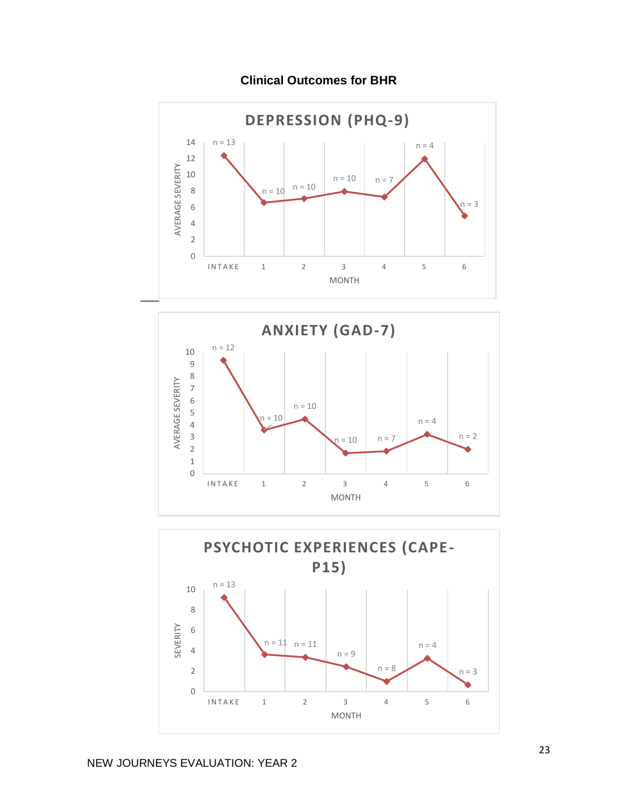

**Clinical Outcomes for BHR**



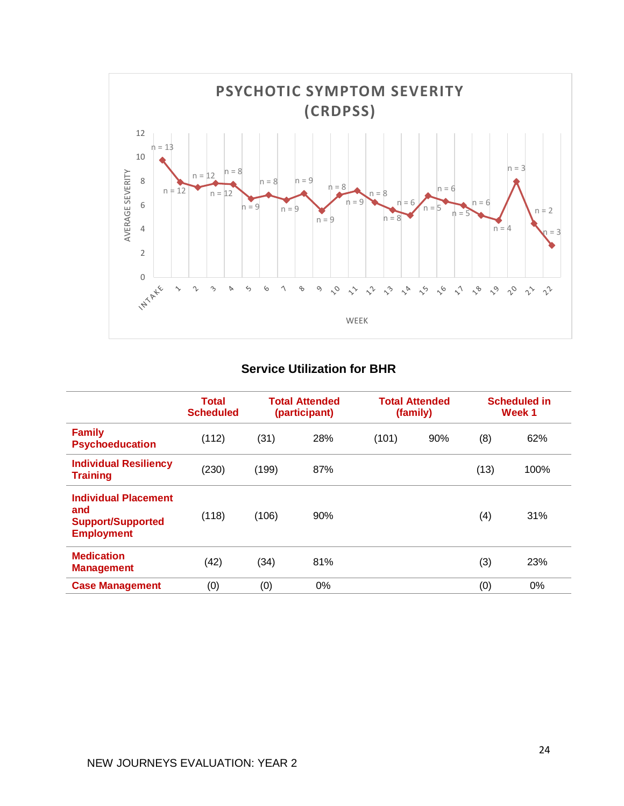

# **Service Utilization for BHR**

|                                                                                     | <b>Total</b><br><b>Scheduled</b> |       | <b>Total Attended</b><br>(participant) |       | <b>Total Attended</b><br>(family) | <b>Scheduled in</b><br>Week 1 |      |  |
|-------------------------------------------------------------------------------------|----------------------------------|-------|----------------------------------------|-------|-----------------------------------|-------------------------------|------|--|
| <b>Family</b><br><b>Psychoeducation</b>                                             | (112)                            | (31)  | 28%                                    | (101) | 90%                               | (8)                           | 62%  |  |
| <b>Individual Resiliency</b><br><b>Training</b>                                     | (230)                            | (199) | 87%                                    |       |                                   | (13)                          | 100% |  |
| <b>Individual Placement</b><br>and<br><b>Support/Supported</b><br><b>Employment</b> | (118)                            | (106) | 90%                                    |       |                                   | (4)                           | 31%  |  |
| <b>Medication</b><br><b>Management</b>                                              | (42)                             | (34)  | 81%                                    |       |                                   | (3)                           | 23%  |  |
| <b>Case Management</b>                                                              | (0)                              | (0)   | 0%                                     |       |                                   | (0)                           | 0%   |  |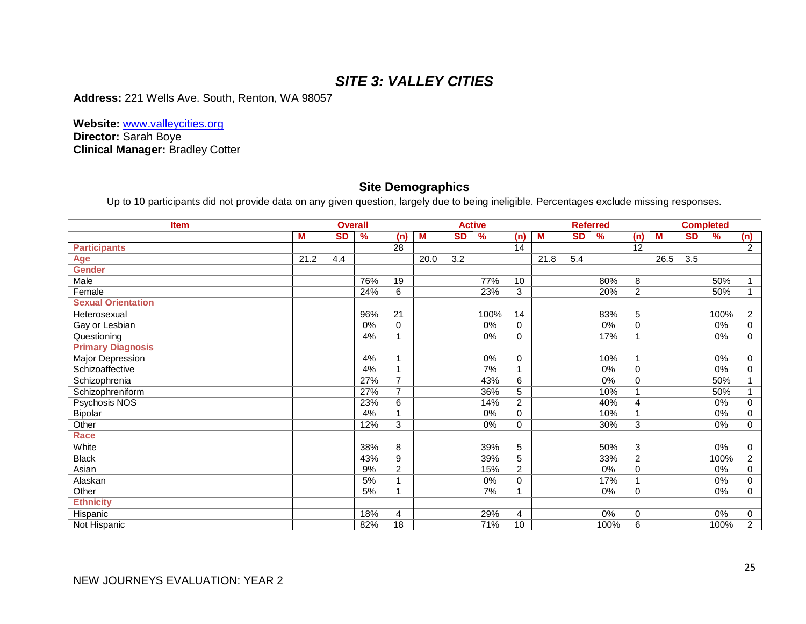# *SITE 3: VALLEY CITIES*

**Address:** 221 Wells Ave. South, Renton, WA 98057

**Website:** www.valleycities.org **Director:** Sarah Boye **Clinical Manager:** Bradley Cotter

#### **Site Demographics**

Up to 10 participants did not provide data on any given question, largely due to being ineligible. Percentages exclude missing responses.

| <b>Item</b>               |      |           | <b>Overall</b> |                  |      | <b>Active</b>    |               |                |      | <b>Referred</b>  |               |                |      | <b>Completed</b> |       |                |
|---------------------------|------|-----------|----------------|------------------|------|------------------|---------------|----------------|------|------------------|---------------|----------------|------|------------------|-------|----------------|
|                           | M    | <b>SD</b> | $\frac{9}{6}$  | (n)              | M    | <b>SD</b>        | $\frac{9}{6}$ | (n)            | M    | <b>SD</b>        | $\frac{9}{6}$ | (n)            | M    | <b>SD</b>        | $\%$  | (n)            |
| <b>Participants</b>       |      |           |                | 28               |      |                  |               | 14             |      |                  |               | 12             |      |                  |       | 2              |
| <b>Age</b>                | 21.2 | 4.4       |                |                  | 20.0 | $\overline{3.2}$ |               |                | 21.8 | $\overline{5.4}$ |               |                | 26.5 | $\overline{3.5}$ |       |                |
| <b>Gender</b>             |      |           |                |                  |      |                  |               |                |      |                  |               |                |      |                  |       |                |
| Male                      |      |           | 76%            | 19               |      |                  | 77%           | 10             |      |                  | 80%           | 8              |      |                  | 50%   |                |
| Female                    |      |           | 24%            | 6                |      |                  | 23%           | 3              |      |                  | 20%           | $\overline{2}$ |      |                  | 50%   |                |
| <b>Sexual Orientation</b> |      |           |                |                  |      |                  |               |                |      |                  |               |                |      |                  |       |                |
| Heterosexual              |      |           | 96%            | $\overline{21}$  |      |                  | 100%          | 14             |      |                  | 83%           | 5              |      |                  | 100%  | $\overline{c}$ |
| Gay or Lesbian            |      |           | 0%             | $\mathbf 0$      |      |                  | 0%            | $\mathbf 0$    |      |                  | 0%            | 0              |      |                  | 0%    | 0              |
| Questioning               |      |           | 4%             | 1                |      |                  | 0%            | 0              |      |                  | 17%           |                |      |                  | 0%    | 0              |
| <b>Primary Diagnosis</b>  |      |           |                |                  |      |                  |               |                |      |                  |               |                |      |                  |       |                |
| <b>Major Depression</b>   |      |           | 4%             | $\overline{1}$   |      |                  | $0\%$         | 0              |      |                  | 10%           | 1              |      |                  | 0%    | $\mathbf 0$    |
| Schizoaffective           |      |           | 4%             | $\mathbf 1$      |      |                  | 7%            | $\overline{ }$ |      |                  | 0%            | 0              |      |                  | 0%    | 0              |
| Schizophrenia             |      |           | 27%            | $\overline{7}$   |      |                  | 43%           | 6              |      |                  | 0%            | 0              |      |                  | 50%   |                |
| Schizophreniform          |      |           | 27%            | $\overline{7}$   |      |                  | 36%           | 5              |      |                  | 10%           |                |      |                  | 50%   |                |
| Psychosis NOS             |      |           | 23%            | $\overline{6}$   |      |                  | 14%           | $\overline{2}$ |      |                  | 40%           | 4              |      |                  | $0\%$ | $\mathbf 0$    |
| Bipolar                   |      |           | 4%             | $\overline{ }$   |      |                  | 0%            | 0              |      |                  | 10%           |                |      |                  | 0%    | $\mathbf 0$    |
| Other                     |      |           | 12%            | 3                |      |                  | $0\%$         | 0              |      |                  | 30%           | 3              |      |                  | 0%    | $\mathbf 0$    |
| <b>Race</b>               |      |           |                |                  |      |                  |               |                |      |                  |               |                |      |                  |       |                |
| White                     |      |           | 38%            | 8                |      |                  | 39%           | 5              |      |                  | 50%           | 3              |      |                  | 0%    | 0              |
| <b>Black</b>              |      |           | 43%            | 9                |      |                  | 39%           | $\overline{5}$ |      |                  | 33%           | 2              |      |                  | 100%  | $\overline{2}$ |
| Asian                     |      |           | 9%             | $\boldsymbol{2}$ |      |                  | 15%           | $\overline{c}$ |      |                  | 0%            | 0              |      |                  | 0%    | 0              |
| Alaskan                   |      |           | 5%             | $\overline{ }$   |      |                  | 0%            | 0              |      |                  | 17%           |                |      |                  | 0%    | $\Omega$       |
| Other                     |      |           | 5%             | $\overline{ }$   |      |                  | 7%            | $\overline{A}$ |      |                  | 0%            | $\mathbf 0$    |      |                  | 0%    | $\mathbf 0$    |
| <b>Ethnicity</b>          |      |           |                |                  |      |                  |               |                |      |                  |               |                |      |                  |       |                |
| Hispanic                  |      |           | 18%            | 4                |      |                  | 29%           | 4              |      |                  | 0%            | 0              |      |                  | 0%    | 0              |
| Not Hispanic              |      |           | 82%            | 18               |      |                  | 71%           | 10             |      |                  | 100%          | 6              |      |                  | 100%  | $\overline{2}$ |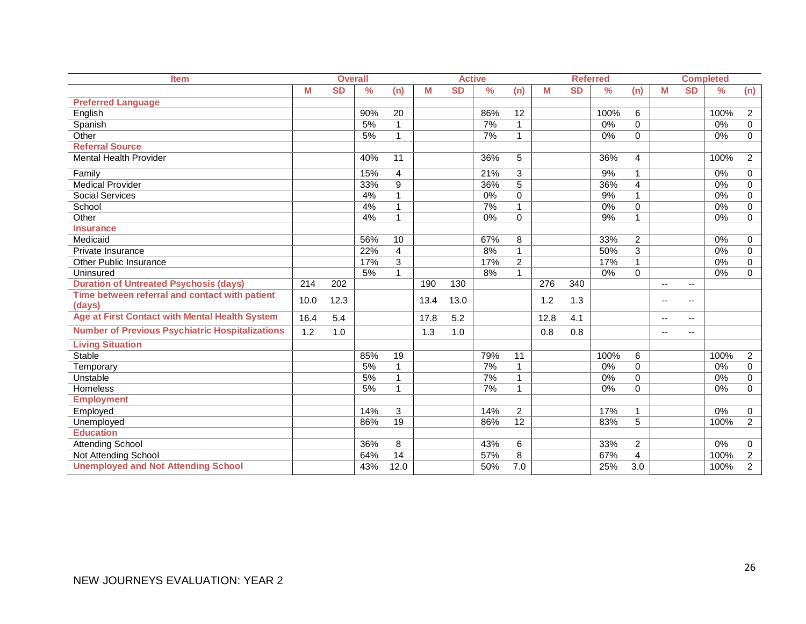| <b>Item</b>                                            |      | <b>Overall</b> |               |                 | <b>Active</b> |           |               |                 |      | <b>Referred</b> |               |                | <b>Completed</b>         |                          |               |                |
|--------------------------------------------------------|------|----------------|---------------|-----------------|---------------|-----------|---------------|-----------------|------|-----------------|---------------|----------------|--------------------------|--------------------------|---------------|----------------|
|                                                        | М    | <b>SD</b>      | $\frac{0}{0}$ | (n)             | M             | <b>SD</b> | $\frac{0}{0}$ | (n)             | M    | <b>SD</b>       | $\frac{0}{0}$ | (n)            | M                        | <b>SD</b>                | $\frac{9}{6}$ | (n)            |
| <b>Preferred Language</b>                              |      |                |               |                 |               |           |               |                 |      |                 |               |                |                          |                          |               |                |
| English                                                |      |                | 90%           | 20              |               |           | 86%           | 12              |      |                 | 100%          | 6              |                          |                          | 100%          | $\overline{2}$ |
| Spanish                                                |      |                | 5%            |                 |               |           | 7%            | $\mathbf{1}$    |      |                 | 0%            | $\Omega$       |                          |                          | $0\%$         | $\mathbf 0$    |
| Other                                                  |      |                | 5%            | 1               |               |           | 7%            | 1               |      |                 | 0%            | $\Omega$       |                          |                          | 0%            | $\mathbf 0$    |
| <b>Referral Source</b>                                 |      |                |               |                 |               |           |               |                 |      |                 |               |                |                          |                          |               |                |
| <b>Mental Health Provider</b>                          |      |                | 40%           | 11              |               |           | 36%           | 5               |      |                 | 36%           | 4              |                          |                          | 100%          | $\overline{2}$ |
| Family                                                 |      |                | 15%           | 4               |               |           | 21%           | $\overline{3}$  |      |                 | 9%            | $\mathbf{1}$   |                          |                          | 0%            | 0              |
| <b>Medical Provider</b>                                |      |                | 33%           | $\overline{9}$  |               |           | 36%           | $\overline{5}$  |      |                 | 36%           | 4              |                          |                          | $0\%$         | $\pmb{0}$      |
| <b>Social Services</b>                                 |      |                | 4%            | 1               |               |           | 0%            | 0               |      |                 | 9%            | $\mathbf{1}$   |                          |                          | 0%            | 0              |
| School                                                 |      |                | 4%            | 1               |               |           | 7%            | 1               |      |                 | 0%            | 0              |                          |                          | $0\%$         | $\mathbf 0$    |
| Other                                                  |      |                | 4%            | 1               |               |           | 0%            | $\Omega$        |      |                 | 9%            | $\mathbf{1}$   |                          |                          | 0%            | $\mathbf 0$    |
| <b>Insurance</b>                                       |      |                |               |                 |               |           |               |                 |      |                 |               |                |                          |                          |               |                |
| Medicaid                                               |      |                | 56%           | 10              |               |           | 67%           | 8               |      |                 | 33%           | $\overline{a}$ |                          |                          | 0%            | 0              |
| Private Insurance                                      |      |                | 22%           | 4               |               |           | 8%            | $\mathbf{1}$    |      |                 | 50%           | 3              |                          |                          | 0%            | $\mathbf 0$    |
| <b>Other Public Insurance</b>                          |      |                | 17%           | 3               |               |           | 17%           | $\overline{2}$  |      |                 | 17%           | $\mathbf{1}$   |                          |                          | 0%            | 0              |
| Uninsured                                              |      |                | 5%            | 1               |               |           | 8%            | 1               |      |                 | 0%            | 0              |                          |                          | $0\%$         | $\mathbf 0$    |
| <b>Duration of Untreated Psychosis (days)</b>          | 214  | 202            |               |                 | 190           | 130       |               |                 | 276  | 340             |               |                | $\overline{\phantom{a}}$ | $\overline{\phantom{a}}$ |               |                |
| Time between referral and contact with patient         | 10.0 | 12.3           |               |                 | 13.4          | 13.0      |               |                 | 1.2  | 1.3             |               |                | $-$                      | --                       |               |                |
| (days)                                                 |      |                |               |                 |               |           |               |                 |      |                 |               |                |                          |                          |               |                |
| <b>Age at First Contact with Mental Health System</b>  | 16.4 | 5.4            |               |                 | 17.8          | 5.2       |               |                 | 12.8 | 4.1             |               |                | $\overline{\phantom{a}}$ | --                       |               |                |
| <b>Number of Previous Psychiatric Hospitalizations</b> | 1.2  | 1.0            |               |                 | 1.3           | 1.0       |               |                 | 0.8  | 0.8             |               |                | $\overline{\phantom{a}}$ | --                       |               |                |
| <b>Living Situation</b>                                |      |                |               |                 |               |           |               |                 |      |                 |               |                |                          |                          |               |                |
| <b>Stable</b>                                          |      |                | 85%           | 19              |               |           | 79%           | 11              |      |                 | 100%          | 6              |                          |                          | 100%          | $\overline{2}$ |
| Temporary                                              |      |                | 5%            | 1               |               |           | 7%            | $\mathbf{1}$    |      |                 | 0%            | $\Omega$       |                          |                          | 0%            | $\mathbf 0$    |
| Unstable                                               |      |                | 5%            | 1               |               |           | 7%            | $\mathbf{1}$    |      |                 | 0%            | $\Omega$       |                          |                          | 0%            | $\mathbf 0$    |
| Homeless                                               |      |                | 5%            | 1               |               |           | 7%            | 1               |      |                 | 0%            | $\Omega$       |                          |                          | 0%            | $\Omega$       |
| <b>Employment</b>                                      |      |                |               |                 |               |           |               |                 |      |                 |               |                |                          |                          |               |                |
| Employed                                               |      |                | 14%           | 3               |               |           | 14%           | $\overline{c}$  |      |                 | 17%           | 1              |                          |                          | 0%            | 0              |
| Unemployed                                             |      |                | 86%           | $\overline{19}$ |               |           | 86%           | $\overline{12}$ |      |                 | 83%           | 5              |                          |                          | 100%          | $\overline{2}$ |
| <b>Education</b>                                       |      |                |               |                 |               |           |               |                 |      |                 |               |                |                          |                          |               |                |
| <b>Attending School</b>                                |      |                | 36%           | 8               |               |           | 43%           | 6               |      |                 | 33%           | $\overline{a}$ |                          |                          | 0%            | 0              |
| Not Attending School                                   |      |                | 64%           | $\overline{14}$ |               |           | 57%           | 8               |      |                 | 67%           | 4              |                          |                          | 100%          | $\overline{c}$ |
| <b>Unemployed and Not Attending School</b>             |      |                | 43%           | 12.0            |               |           | 50%           | 7.0             |      |                 | 25%           | 3.0            |                          |                          | 100%          | $\overline{2}$ |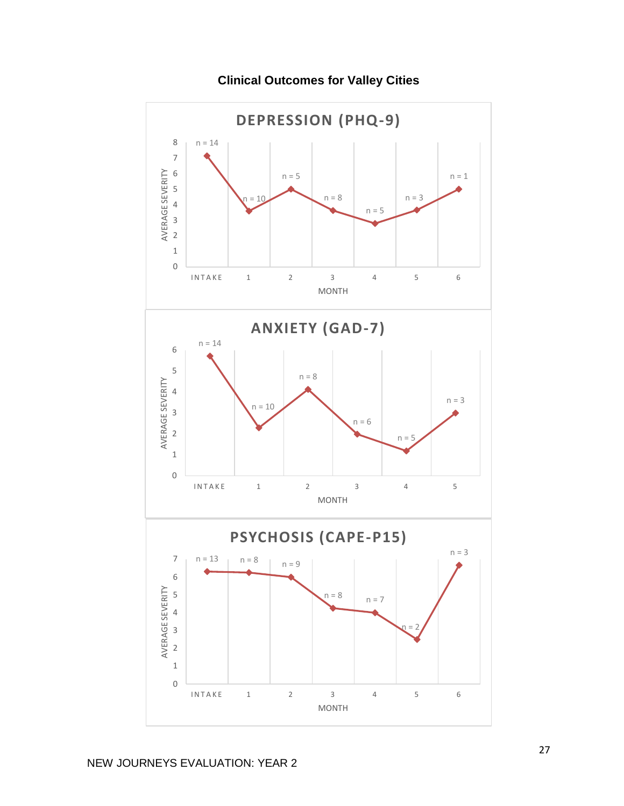

**Clinical Outcomes for Valley Cities**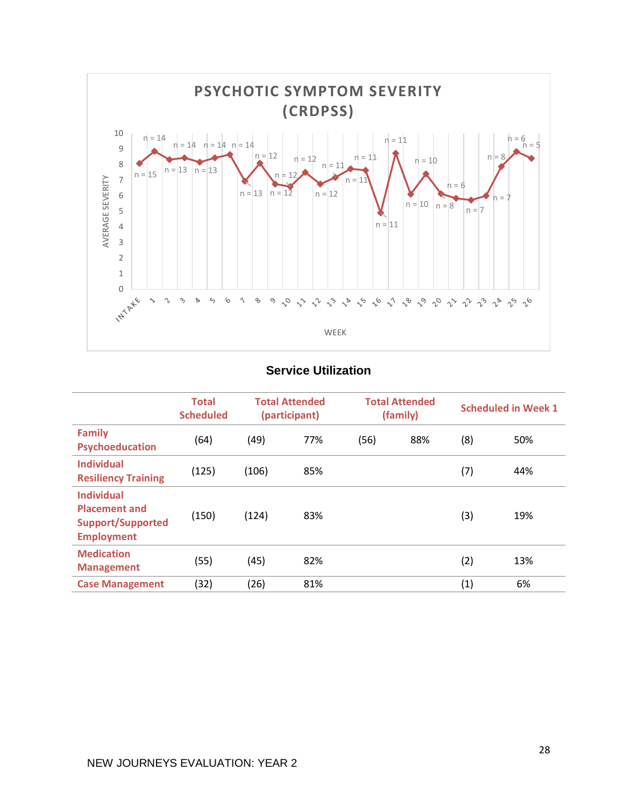

## **Service Utilization**

|                                                                                            | <b>Total</b><br><b>Scheduled</b> |       | <b>Total Attended</b><br>(participant) |      | <b>Total Attended</b><br>(family) | <b>Scheduled in Week 1</b> |     |  |  |
|--------------------------------------------------------------------------------------------|----------------------------------|-------|----------------------------------------|------|-----------------------------------|----------------------------|-----|--|--|
| <b>Family</b><br>Psychoeducation                                                           | (64)                             | (49)  | 77%                                    | (56) | 88%                               | (8)                        | 50% |  |  |
| <b>Individual</b><br><b>Resiliency Training</b>                                            | (125)                            | (106) | 85%                                    |      |                                   | (7)                        | 44% |  |  |
| <b>Individual</b><br><b>Placement and</b><br><b>Support/Supported</b><br><b>Employment</b> | (150)                            | (124) | 83%                                    |      |                                   | (3)                        | 19% |  |  |
| <b>Medication</b><br><b>Management</b>                                                     | (55)                             | (45)  | 82%                                    |      |                                   | (2)                        | 13% |  |  |
| <b>Case Management</b>                                                                     | (32)                             | (26)  | 81%                                    |      |                                   | (1)                        | 6%  |  |  |